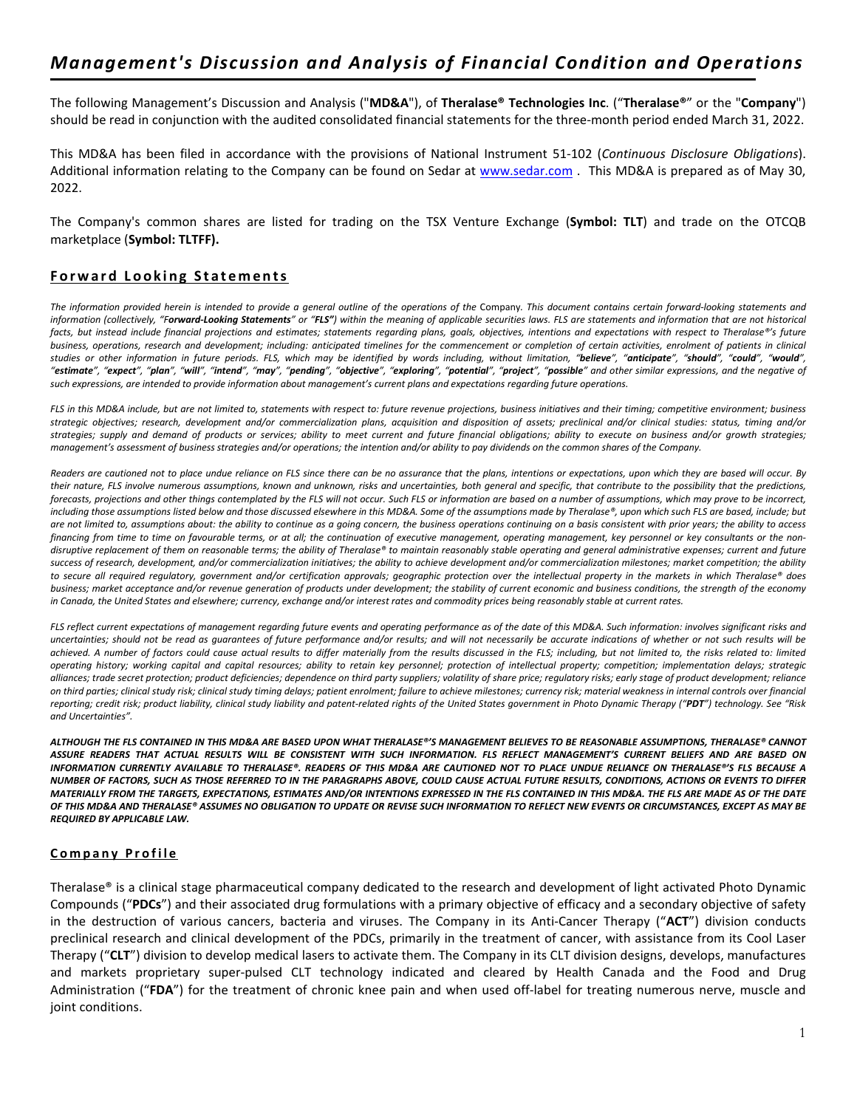The following Management's Discussion and Analysis ("**MD&A**"), of **Theralase® Technologies Inc**. ("**Theralase®**" or the "**Company**") should be read in conjunction with the audited consolidated financial statements for the three-month period ended March 31, 2022.

This MD&A has been filed in accordance with the provisions of National Instrument 51-102 (*Continuous Disclosure Obligations*). Additional information relating to the Company can be found on Sedar at [www.sedar.com](http://www.sedar.com/) . This MD&A is prepared as of May 30, 2022.

The Company's common shares are listed for trading on the TSX Venture Exchange (**Symbol: TLT**) and trade on the OTCQB marketplace (**Symbol: TLTFF).** 

## **Forward Looking Statements**

The information provided herein is intended to provide a general outline of the operations of the Company. This document contains certain forward-looking statements and *information (collectively, "Forward-Looking Statements" or "FLS") within the meaning of applicable securities laws. FLS are statements and information that are not historical*  facts, but instead include financial projections and estimates; statements regarding plans, goals, objectives, intentions and expectations with respect to Theralase®'s future business, operations, research and development; including: anticipated timelines for the commencement or completion of certain activities, enrolment of patients in clinical studies or other information in future periods. FLS, which may be identified by words including, without limitation, "believe", "anticipate", "should", "could", "would", "would", "estimate", "expect", "plan", "will", "intend", "may", "pending", "objective", "exploring", "potential", "project", "possible" and other similar expressions, and the negative of *such expressions, are intended to provide information about management's current plans and expectations regarding future operations.*

*FLS in this MD&A include, but are not limited to, statements with respect to: future revenue projections, business initiatives and their timing; competitive environment; business strategic objectives; research, development and/or commercialization plans, acquisition and disposition of assets; preclinical and/or clinical studies: status, timing and/or strategies; supply and demand of products or services; ability to meet current and future financial obligations; ability to execute on business and/or growth strategies; management's assessment of business strategies and/or operations; the intention and/or ability to pay dividends on the common shares of the Company.*

*Readers are cautioned not to place undue reliance on FLS since there can be no assurance that the plans, intentions or expectations, upon which they are based will occur. By their nature, FLS involve numerous assumptions, known and unknown, risks and uncertainties, both general and specific, that contribute to the possibility that the predictions, forecasts, projections and other things contemplated by the FLS will not occur. Such FLS or information are based on a number of assumptions, which may prove to be incorrect, including those assumptions listed below and those discussed elsewhere in this MD&A. Some of the assumptions made by Theralase®, upon which such FLS are based, include; but are not limited to, assumptions about: the ability to continue as a going concern, the business operations continuing on a basis consistent with prior years; the ability to access financing from time to time on favourable terms, or at all; the continuation of executive management, operating management, key personnel or key consultants or the nondisruptive replacement of them on reasonable terms; the ability of Theralase® to maintain reasonably stable operating and general administrative expenses; current and future success of research, development, and/or commercialization initiatives; the ability to achieve development and/or commercialization milestones; market competition; the ability to secure all required regulatory, government and/or certification approvals; geographic protection over the intellectual property in the markets in which Theralase® does business; market acceptance and/or revenue generation of products under development; the stability of current economic and business conditions, the strength of the economy in Canada, the United States and elsewhere; currency, exchange and/or interest rates and commodity prices being reasonably stable at current rates.*

*FLS reflect current expectations of management regarding future events and operating performance as of the date of this MD&A. Such information: involves significant risks and uncertainties; should not be read as guarantees of future performance and/or results; and will not necessarily be accurate indications of whether or not such results will be achieved. A number of factors could cause actual results to differ materially from the results discussed in the FLS; including, but not limited to, the risks related to: limited operating history; working capital and capital resources; ability to retain key personnel; protection of intellectual property; competition; implementation delays; strategic alliances; trade secret protection; product deficiencies; dependence on third party suppliers; volatility of share price; regulatory risks; early stage of product development; reliance on third parties; clinical study risk; clinical study timing delays; patient enrolment; failure to achieve milestones; currency risk; material weakness in internal controls over financial*  reporting; credit risk; product liability, clinical study liability and patent-related rights of the United States government in Photo Dynamic Therapy ("PDT") technology. See "Risk *and Uncertainties".*

*ALTHOUGH THE FLS CONTAINED IN THIS MD&A ARE BASED UPON WHAT THERALASE®'S MANAGEMENT BELIEVES TO BE REASONABLE ASSUMPTIONS, THERALASE® CANNOT ASSURE READERS THAT ACTUAL RESULTS WILL BE CONSISTENT WITH SUCH INFORMATION. FLS REFLECT MANAGEMENT'S CURRENT BELIEFS AND ARE BASED ON INFORMATION CURRENTLY AVAILABLE TO THERALASE®. READERS OF THIS MD&A ARE CAUTIONED NOT TO PLACE UNDUE RELIANCE ON THERALASE®'S FLS BECAUSE A NUMBER OF FACTORS, SUCH AS THOSE REFERRED TO IN THE PARAGRAPHS ABOVE, COULD CAUSE ACTUAL FUTURE RESULTS, CONDITIONS, ACTIONS OR EVENTS TO DIFFER MATERIALLY FROM THE TARGETS, EXPECTATIONS, ESTIMATES AND/OR INTENTIONS EXPRESSED IN THE FLS CONTAINED IN THIS MD&A. THE FLS ARE MADE AS OF THE DATE OF THIS MD&A AND THERALASE® ASSUMES NO OBLIGATION TO UPDATE OR REVISE SUCH INFORMATION TO REFLECT NEW EVENTS OR CIRCUMSTANCES, EXCEPT AS MAY BE REQUIRED BY APPLICABLE LAW.*

## **C ompany P rofile**

Theralase® is a clinical stage pharmaceutical company dedicated to the research and development of light activated Photo Dynamic Compounds ("**PDCs**") and their associated drug formulations with a primary objective of efficacy and a secondary objective of safety in the destruction of various cancers, bacteria and viruses. The Company in its Anti-Cancer Therapy ("**ACT**") division conducts preclinical research and clinical development of the PDCs, primarily in the treatment of cancer, with assistance from its Cool Laser Therapy ("**CLT**") division to develop medical lasers to activate them. The Company in its CLT division designs, develops, manufactures and markets proprietary super-pulsed CLT technology indicated and cleared by Health Canada and the Food and Drug Administration ("**FDA**") for the treatment of chronic knee pain and when used off-label for treating numerous nerve, muscle and joint conditions.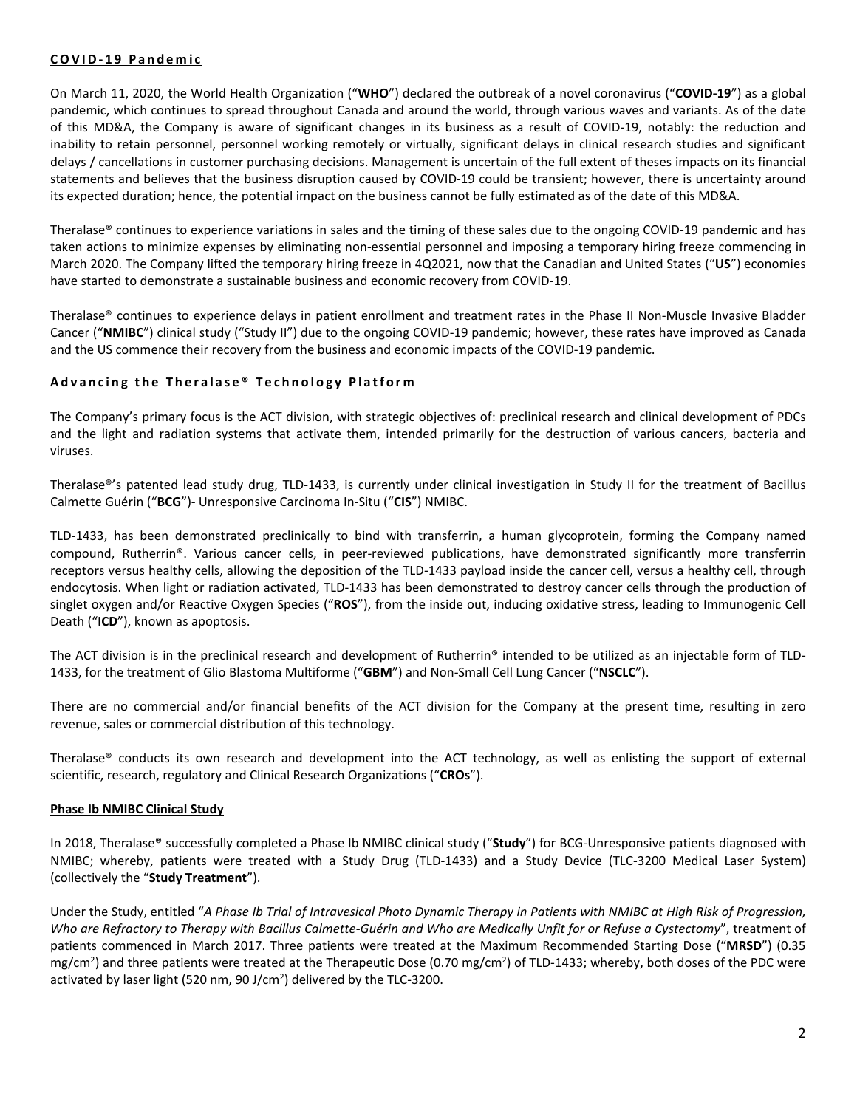## **COVID- 19 Pandemic**

On March 11, 2020, the World Health Organization ("**WHO**") declared the outbreak of a novel coronavirus ("**COVID-19**") as a global pandemic, which continues to spread throughout Canada and around the world, through various waves and variants. As of the date of this MD&A, the Company is aware of significant changes in its business as a result of COVID-19, notably: the reduction and inability to retain personnel, personnel working remotely or virtually, significant delays in clinical research studies and significant delays / cancellations in customer purchasing decisions. Management is uncertain of the full extent of theses impacts on its financial statements and believes that the business disruption caused by COVID-19 could be transient; however, there is uncertainty around its expected duration; hence, the potential impact on the business cannot be fully estimated as of the date of this MD&A.

Theralase® continues to experience variations in sales and the timing of these sales due to the ongoing COVID-19 pandemic and has taken actions to minimize expenses by eliminating non-essential personnel and imposing a temporary hiring freeze commencing in March 2020. The Company lifted the temporary hiring freeze in 4Q2021, now that the Canadian and United States ("**US**") economies have started to demonstrate a sustainable business and economic recovery from COVID-19.

Theralase® continues to experience delays in patient enrollment and treatment rates in the Phase II Non-Muscle Invasive Bladder Cancer ("**NMIBC**") clinical study ("Study II") due to the ongoing COVID-19 pandemic; however, these rates have improved as Canada and the US commence their recovery from the business and economic impacts of the COVID-19 pandemic.

## **A d v a ncing the Theralase ® T e chnolo gy Platfor m**

The Company's primary focus is the ACT division, with strategic objectives of: preclinical research and clinical development of PDCs and the light and radiation systems that activate them, intended primarily for the destruction of various cancers, bacteria and viruses.

Theralase®'s patented lead study drug, TLD-1433, is currently under clinical investigation in Study II for the treatment of Bacillus Calmette Guérin ("**BCG**")- Unresponsive Carcinoma In-Situ ("**CIS**") NMIBC.

TLD-1433, has been demonstrated preclinically to bind with transferrin, a human glycoprotein, forming the Company named compound, Rutherrin®. Various cancer cells, in peer-reviewed publications, have demonstrated significantly more transferrin receptors versus healthy cells, allowing the deposition of the TLD-1433 payload inside the cancer cell, versus a healthy cell, through endocytosis. When light or radiation activated, TLD-1433 has been demonstrated to destroy cancer cells through the production of singlet oxygen and/or Reactive Oxygen Species ("**ROS**"), from the inside out, inducing oxidative stress, leading to Immunogenic Cell Death ("**ICD**"), known as apoptosis.

The ACT division is in the preclinical research and development of Rutherrin® intended to be utilized as an injectable form of TLD-1433, for the treatment of Glio Blastoma Multiforme ("**GBM**") and Non-Small Cell Lung Cancer ("**NSCLC**").

There are no commercial and/or financial benefits of the ACT division for the Company at the present time, resulting in zero revenue, sales or commercial distribution of this technology.

Theralase® conducts its own research and development into the ACT technology, as well as enlisting the support of external scientific, research, regulatory and Clinical Research Organizations ("**CROs**").

## **Phase Ib NMIBC Clinical Study**

In 2018, Theralase® successfully completed a Phase Ib NMIBC clinical study ("**Study**") for BCG-Unresponsive patients diagnosed with NMIBC; whereby, patients were treated with a Study Drug (TLD-1433) and a Study Device (TLC-3200 Medical Laser System) (collectively the "**Study Treatment**").

Under the Study, entitled "*A Phase Ib Trial of Intravesical Photo Dynamic Therapy in Patients with NMIBC at High Risk of Progression, Who are Refractory to Therapy with Bacillus Calmette-Guérin and Who are Medically Unfit for or Refuse a Cystectomy*", treatment of patients commenced in March 2017. Three patients were treated at the Maximum Recommended Starting Dose ("**MRSD**") (0.35 mg/cm<sup>2</sup>) and three patients were treated at the Therapeutic Dose (0.70 mg/cm<sup>2</sup>) of TLD-1433; whereby, both doses of the PDC were activated by laser light (520 nm, 90 J/cm<sup>2</sup>) delivered by the TLC-3200.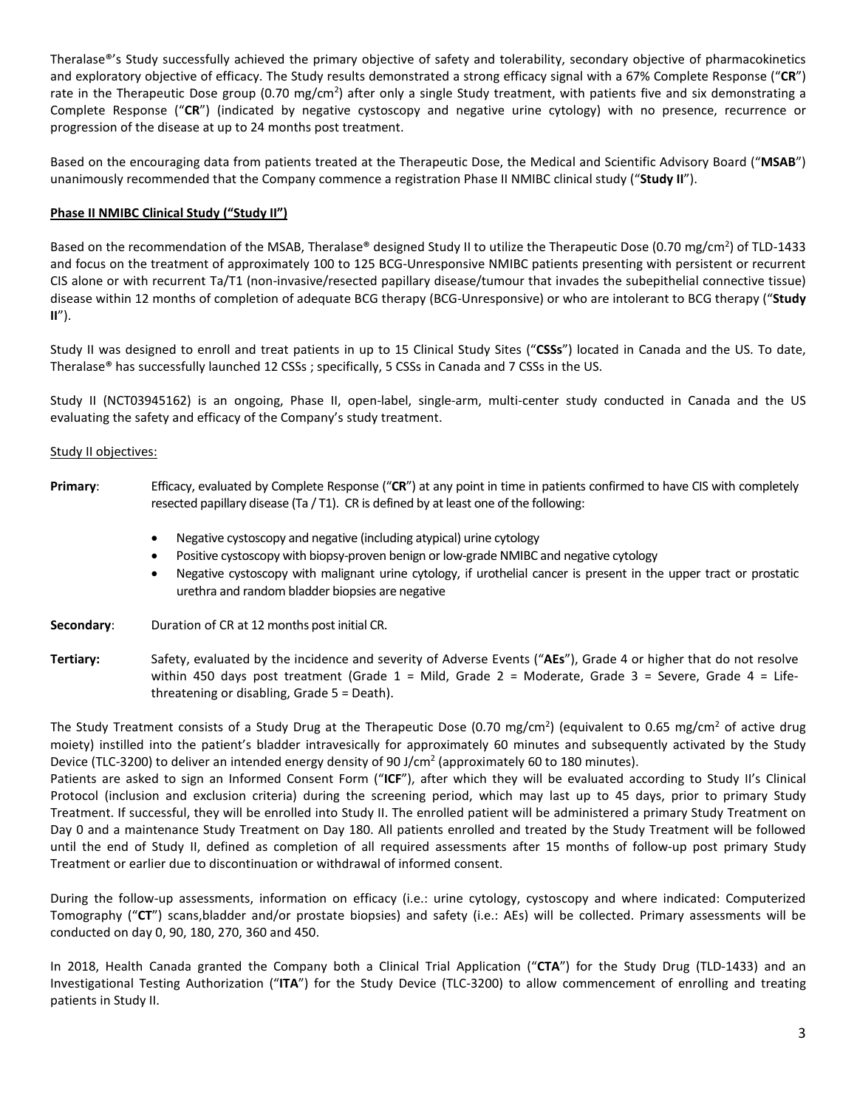Theralase®'s Study successfully achieved the primary objective of safety and tolerability, secondary objective of pharmacokinetics and exploratory objective of efficacy. The Study results demonstrated a strong efficacy signal with a 67% Complete Response ("**CR**") rate in the Therapeutic Dose group (0.70 mg/cm<sup>2</sup>) after only a single Study treatment, with patients five and six demonstrating a Complete Response ("**CR**") (indicated by negative cystoscopy and negative urine cytology) with no presence, recurrence or progression of the disease at up to 24 months post treatment.

Based on the encouraging data from patients treated at the Therapeutic Dose, the Medical and Scientific Advisory Board ("**MSAB**") unanimously recommended that the Company commence a registration Phase II NMIBC clinical study ("**Study II**").

## **Phase II NMIBC Clinical Study ("Study II")**

Based on the recommendation of the MSAB, Theralase® designed Study II to utilize the Therapeutic Dose (0.70 mg/cm<sup>2</sup>) of TLD-1433 and focus on the treatment of approximately 100 to 125 BCG-Unresponsive NMIBC patients presenting with persistent or recurrent CIS alone or with recurrent Ta/T1 (non-invasive/resected papillary disease/tumour that invades the subepithelial connective tissue) disease within 12 months of completion of adequate BCG therapy (BCG-Unresponsive) or who are intolerant to BCG therapy ("**Study II**").

Study II was designed to enroll and treat patients in up to 15 Clinical Study Sites ("**CSSs**") located in Canada and the US. To date, Theralase® has successfully launched 12 CSSs ; specifically, 5 CSSs in Canada and 7 CSSs in the US.

Study II (NCT03945162) is an ongoing, Phase II, open-label, single-arm, multi-center study conducted in Canada and the US evaluating the safety and efficacy of the Company's study treatment.

## Study II objectives:

- **Primary**: Efficacy, evaluated by Complete Response ("**CR**") at any point in time in patients confirmed to have CIS with completely resected papillary disease (Ta / T1). CR is defined by at least one of the following:
	- Negative cystoscopy and negative (including atypical) urine cytology
	- Positive cystoscopy with biopsy-proven benign or low-grade NMIBC and negative cytology
	- Negative cystoscopy with malignant urine cytology, if urothelial cancer is present in the upper tract or prostatic urethra and random bladder biopsies are negative

**Secondary**: Duration of CR at 12 months post initial CR.

## **Tertiary:** Safety, evaluated by the incidence and severity of Adverse Events ("**AEs**"), Grade 4 or higher that do not resolve within 450 days post treatment (Grade  $1 =$  Mild, Grade  $2 =$  Moderate, Grade  $3 =$  Severe, Grade  $4 =$  Lifethreatening or disabling, Grade 5 = Death).

The Study Treatment consists of a Study Drug at the Therapeutic Dose (0.70 mg/cm<sup>2</sup>) (equivalent to 0.65 mg/cm<sup>2</sup> of active drug moiety) instilled into the patient's bladder intravesically for approximately 60 minutes and subsequently activated by the Study Device (TLC-3200) to deliver an intended energy density of 90 J/cm<sup>2</sup> (approximately 60 to 180 minutes).

Patients are asked to sign an Informed Consent Form ("**ICF**"), after which they will be evaluated according to Study II's Clinical Protocol (inclusion and exclusion criteria) during the screening period, which may last up to 45 days, prior to primary Study Treatment. If successful, they will be enrolled into Study II. The enrolled patient will be administered a primary Study Treatment on Day 0 and a maintenance Study Treatment on Day 180. All patients enrolled and treated by the Study Treatment will be followed until the end of Study II, defined as completion of all required assessments after 15 months of follow-up post primary Study Treatment or earlier due to discontinuation or withdrawal of informed consent.

During the follow-up assessments, information on efficacy (i.e.: urine cytology, cystoscopy and where indicated: Computerized Tomography ("**CT**") scans,bladder and/or prostate biopsies) and safety (i.e.: AEs) will be collected. Primary assessments will be conducted on day 0, 90, 180, 270, 360 and 450.

In 2018, Health Canada granted the Company both a Clinical Trial Application ("**CTA**") for the Study Drug (TLD-1433) and an Investigational Testing Authorization ("**ITA**") for the Study Device (TLC-3200) to allow commencement of enrolling and treating patients in Study II.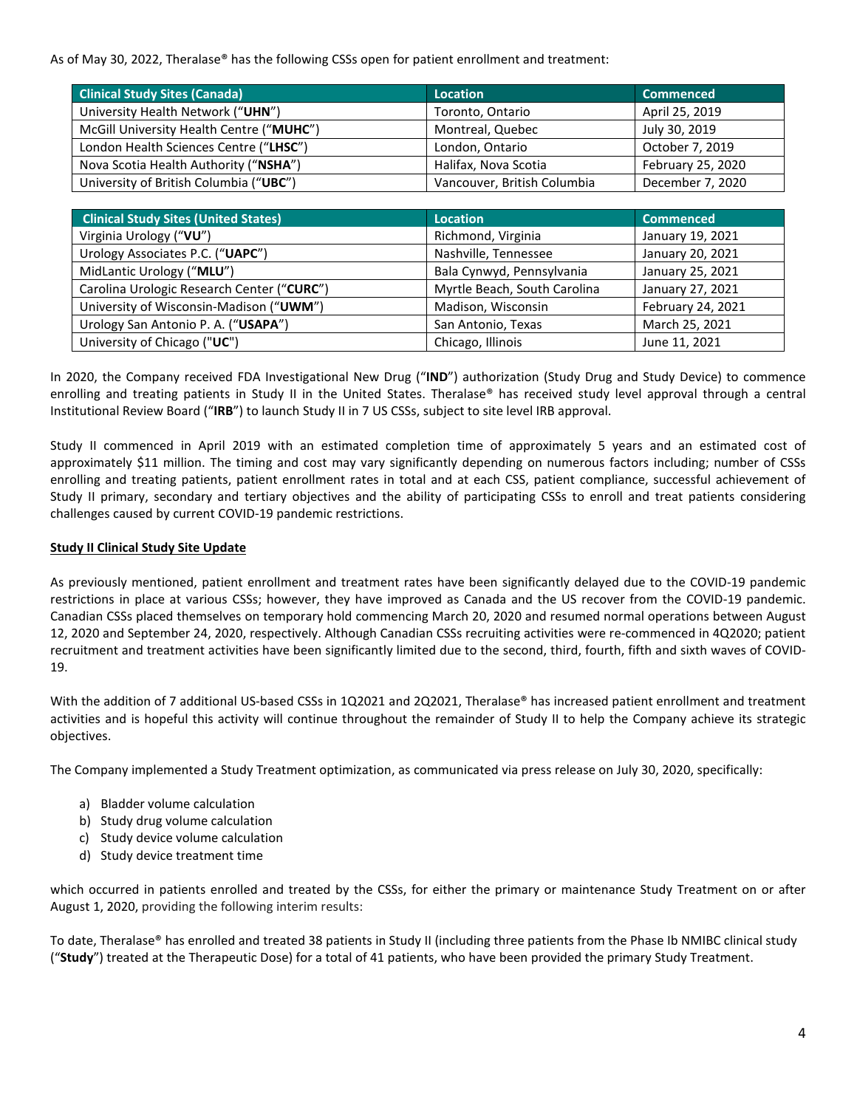As of May 30, 2022, Theralase® has the following CSSs open for patient enrollment and treatment:

| <b>Clinical Study Sites (Canada)</b>     | Location                    | <b>Commenced</b>  |  |  |  |
|------------------------------------------|-----------------------------|-------------------|--|--|--|
| University Health Network ("UHN")        | Toronto, Ontario            | April 25, 2019    |  |  |  |
| McGill University Health Centre ("MUHC") | Montreal, Quebec            | July 30, 2019     |  |  |  |
| London Health Sciences Centre ("LHSC")   | London, Ontario             | October 7, 2019   |  |  |  |
| Nova Scotia Health Authority ("NSHA")    | Halifax, Nova Scotia        | February 25, 2020 |  |  |  |
| University of British Columbia ("UBC")   | Vancouver, British Columbia | December 7, 2020  |  |  |  |

| <b>Clinical Study Sites (United States)</b> | <b>Location</b>              | <b>Commenced</b>  |
|---------------------------------------------|------------------------------|-------------------|
| Virginia Urology ("VU")                     | Richmond, Virginia           | January 19, 2021  |
| Urology Associates P.C. ("UAPC")            | Nashville, Tennessee         | January 20, 2021  |
| MidLantic Urology ("MLU")                   | Bala Cynwyd, Pennsylvania    | January 25, 2021  |
| Carolina Urologic Research Center ("CURC")  | Myrtle Beach, South Carolina | January 27, 2021  |
| University of Wisconsin-Madison ("UWM")     | Madison, Wisconsin           | February 24, 2021 |
| Urology San Antonio P. A. ("USAPA")         | San Antonio, Texas           | March 25, 2021    |
| University of Chicago ("UC")                | Chicago, Illinois            | June 11, 2021     |

In 2020, the Company received FDA Investigational New Drug ("**IND**") authorization (Study Drug and Study Device) to commence enrolling and treating patients in Study II in the United States. Theralase® has received study level approval through a central Institutional Review Board ("**IRB**") to launch Study II in 7 US CSSs, subject to site level IRB approval.

Study II commenced in April 2019 with an estimated completion time of approximately 5 years and an estimated cost of approximately \$11 million. The timing and cost may vary significantly depending on numerous factors including; number of CSSs enrolling and treating patients, patient enrollment rates in total and at each CSS, patient compliance, successful achievement of Study II primary, secondary and tertiary objectives and the ability of participating CSSs to enroll and treat patients considering challenges caused by current COVID-19 pandemic restrictions.

## **Study II Clinical Study Site Update**

As previously mentioned, patient enrollment and treatment rates have been significantly delayed due to the COVID-19 pandemic restrictions in place at various CSSs; however, they have improved as Canada and the US recover from the COVID-19 pandemic. Canadian CSSs placed themselves on temporary hold commencing March 20, 2020 and resumed normal operations between August 12, 2020 and September 24, 2020, respectively. Although Canadian CSSs recruiting activities were re-commenced in 4Q2020; patient recruitment and treatment activities have been significantly limited due to the second, third, fourth, fifth and sixth waves of COVID-19.

With the addition of 7 additional US-based CSSs in 1Q2021 and 2Q2021, Theralase® has increased patient enrollment and treatment activities and is hopeful this activity will continue throughout the remainder of Study II to help the Company achieve its strategic objectives.

The Company implemented a Study Treatment optimization, as communicated via press release on July 30, 2020, specifically:

- a) Bladder volume calculation
- b) Study drug volume calculation
- c) Study device volume calculation
- d) Study device treatment time

which occurred in patients enrolled and treated by the CSSs, for either the primary or maintenance Study Treatment on or after August 1, 2020, providing the following interim results:

To date, Theralase® has enrolled and treated 38 patients in Study II (including three patients from the Phase Ib NMIBC clinical study ("**Study**") treated at the Therapeutic Dose) for a total of 41 patients, who have been provided the primary Study Treatment.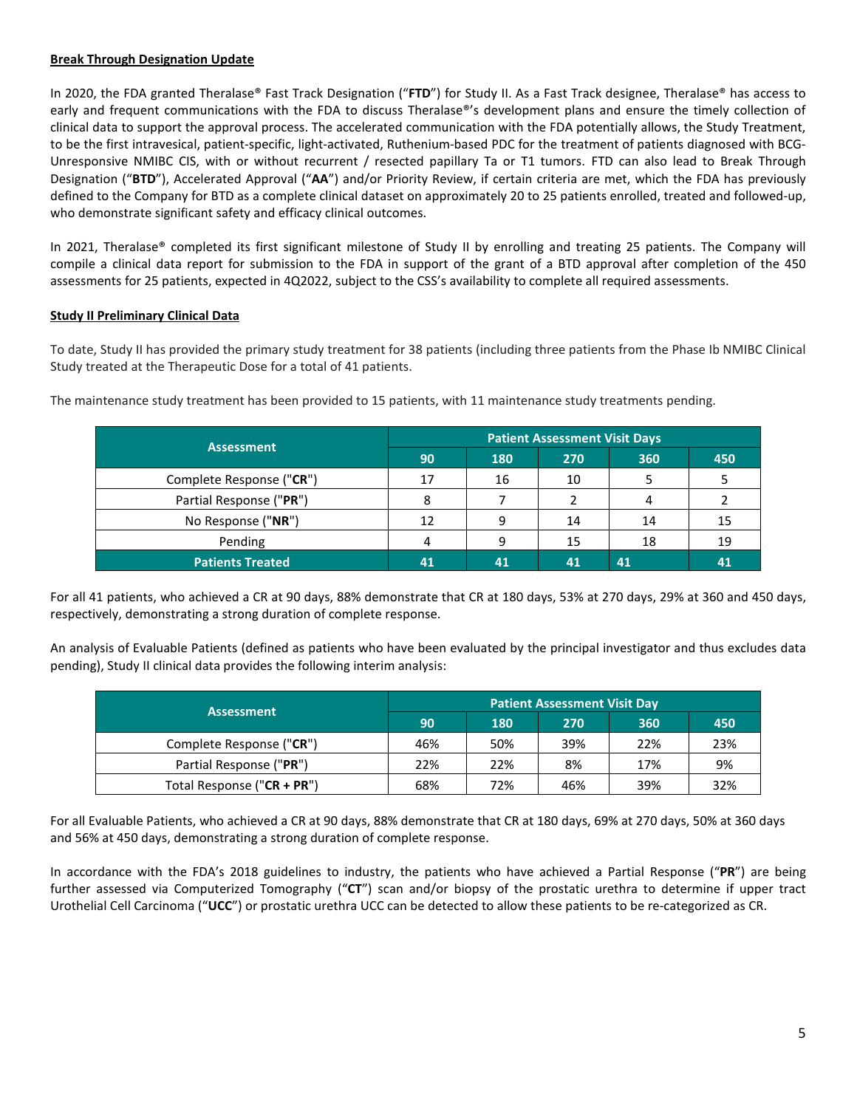## **Break Through Designation Update**

In 2020, the FDA granted Theralase® Fast Track Designation ("**FTD**") for Study II. As a Fast Track designee, Theralase® has access to early and frequent communications with the FDA to discuss Theralase®'s development plans and ensure the timely collection of clinical data to support the approval process. The accelerated communication with the FDA potentially allows, the Study Treatment, to be the first intravesical, patient-specific, light-activated, Ruthenium-based PDC for the treatment of patients diagnosed with BCG-Unresponsive NMIBC CIS, with or without recurrent / resected papillary Ta or T1 tumors. FTD can also lead to Break Through Designation ("**BTD**"), Accelerated Approval ("**AA**") and/or Priority Review, if certain criteria are met, which the FDA has previously defined to the Company for BTD as a complete clinical dataset on approximately 20 to 25 patients enrolled, treated and followed-up, who demonstrate significant safety and efficacy clinical outcomes.

In 2021, Theralase® completed its first significant milestone of Study II by enrolling and treating 25 patients. The Company will compile a clinical data report for submission to the FDA in support of the grant of a BTD approval after completion of the 450 assessments for 25 patients, expected in 4Q2022, subject to the CSS's availability to complete all required assessments.

## **Study II Preliminary Clinical Data**

To date, Study II has provided the primary study treatment for 38 patients (including three patients from the Phase Ib NMIBC Clinical Study treated at the Therapeutic Dose for a total of 41 patients.

| <b>Assessment</b>        | <b>Patient Assessment Visit Days</b> |     |     |     |    |  |  |
|--------------------------|--------------------------------------|-----|-----|-----|----|--|--|
|                          | 90                                   | 180 | 360 | 450 |    |  |  |
| Complete Response ("CR") | 17                                   | 16  | 10  |     |    |  |  |
| Partial Response ("PR")  | 8                                    |     |     | 4   |    |  |  |
| No Response ("NR")       | 12                                   |     | 14  | 14  |    |  |  |
| Pending                  |                                      | q   | 15  | 18  | 19 |  |  |
| <b>Patients Treated</b>  | 41                                   | 41  | 41  | 41  |    |  |  |

The maintenance study treatment has been provided to 15 patients, with 11 maintenance study treatments pending.

For all 41 patients, who achieved a CR at 90 days, 88% demonstrate that CR at 180 days, 53% at 270 days, 29% at 360 and 450 days, respectively, demonstrating a strong duration of complete response.

An analysis of Evaluable Patients (defined as patients who have been evaluated by the principal investigator and thus excludes data pending), Study II clinical data provides the following interim analysis:

|                            | <b>Patient Assessment Visit Day</b> |     |     |     |     |  |  |
|----------------------------|-------------------------------------|-----|-----|-----|-----|--|--|
| <b>Assessment</b>          | 90                                  | 180 | 270 | 360 | 450 |  |  |
| Complete Response ("CR")   | 46%                                 | 50% | 39% | 22% | 23% |  |  |
| Partial Response ("PR")    | 22%                                 | 22% | 8%  | 17% | 9%  |  |  |
| Total Response ("CR + PR") | 68%                                 | 72% | 46% | 39% | 32% |  |  |

For all Evaluable Patients, who achieved a CR at 90 days, 88% demonstrate that CR at 180 days, 69% at 270 days, 50% at 360 days and 56% at 450 days, demonstrating a strong duration of complete response.

In accordance with the FDA's 2018 guidelines to industry, the patients who have achieved a Partial Response ("**PR**") are being further assessed via Computerized Tomography ("**CT**") scan and/or biopsy of the prostatic urethra to determine if upper tract Urothelial Cell Carcinoma ("**UCC**") or prostatic urethra UCC can be detected to allow these patients to be re-categorized as CR.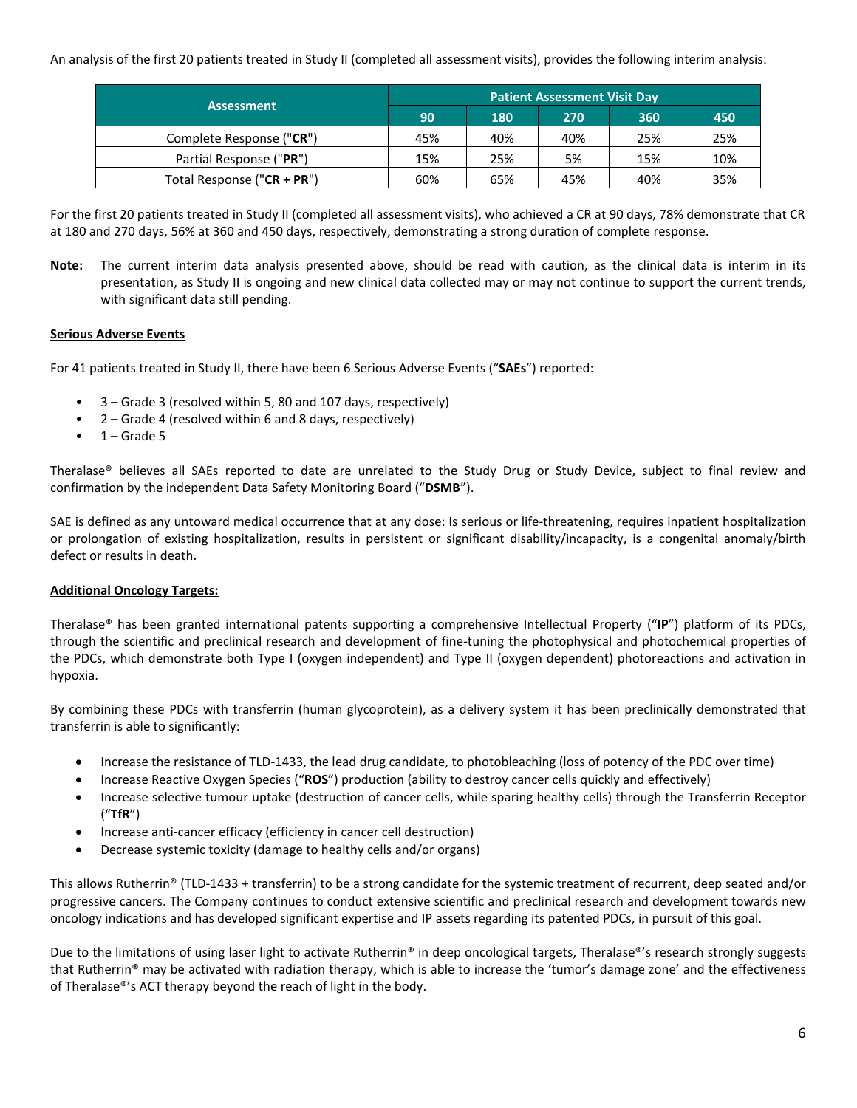An analysis of the first 20 patients treated in Study II (completed all assessment visits), provides the following interim analysis:

| <b>Assessment</b>          | <b>Patient Assessment Visit Day</b> |     |     |     |     |  |  |  |
|----------------------------|-------------------------------------|-----|-----|-----|-----|--|--|--|
|                            | 90                                  | 180 | 270 | 360 | 450 |  |  |  |
| Complete Response ("CR")   | 45%                                 | 40% | 40% | 25% | 25% |  |  |  |
| Partial Response ("PR")    | 15%                                 | 25% | 5%  | 15% | 10% |  |  |  |
| Total Response ("CR + PR") | 60%                                 | 65% | 45% | 40% | 35% |  |  |  |

For the first 20 patients treated in Study II (completed all assessment visits), who achieved a CR at 90 days, 78% demonstrate that CR at 180 and 270 days, 56% at 360 and 450 days, respectively, demonstrating a strong duration of complete response.

**Note:** The current interim data analysis presented above, should be read with caution, as the clinical data is interim in its presentation, as Study II is ongoing and new clinical data collected may or may not continue to support the current trends, with significant data still pending.

## **Serious Adverse Events**

For 41 patients treated in Study II, there have been 6 Serious Adverse Events ("**SAEs**") reported:

- 3 Grade 3 (resolved within 5, 80 and 107 days, respectively)
- $2 -$  Grade 4 (resolved within 6 and 8 days, respectively)
- $1 -$  Grade 5

Theralase® believes all SAEs reported to date are unrelated to the Study Drug or Study Device, subject to final review and confirmation by the independent Data Safety Monitoring Board ("**DSMB**").

SAE is defined as any untoward medical occurrence that at any dose: Is serious or life-threatening, requires inpatient hospitalization or prolongation of existing hospitalization, results in persistent or significant disability/incapacity, is a congenital anomaly/birth defect or results in death.

## **Additional Oncology Targets:**

Theralase® has been granted international patents supporting a comprehensive Intellectual Property ("**IP**") platform of its PDCs, through the scientific and preclinical research and development of fine-tuning the photophysical and photochemical properties of the PDCs, which demonstrate both Type I (oxygen independent) and Type II (oxygen dependent) photoreactions and activation in hypoxia.

By combining these PDCs with transferrin (human glycoprotein), as a delivery system it has been preclinically demonstrated that transferrin is able to significantly:

- Increase the resistance of TLD-1433, the lead drug candidate, to photobleaching (loss of potency of the PDC over time)
- Increase Reactive Oxygen Species ("**ROS**") production (ability to destroy cancer cells quickly and effectively)
- Increase selective tumour uptake (destruction of cancer cells, while sparing healthy cells) through the Transferrin Receptor ("**TfR**")
- Increase anti-cancer efficacy (efficiency in cancer cell destruction)
- Decrease systemic toxicity (damage to healthy cells and/or organs)

This allows Rutherrin® (TLD-1433 + transferrin) to be a strong candidate for the systemic treatment of recurrent, deep seated and/or progressive cancers. The Company continues to conduct extensive scientific and preclinical research and development towards new oncology indications and has developed significant expertise and IP assets regarding its patented PDCs, in pursuit of this goal.

Due to the limitations of using laser light to activate Rutherrin® in deep oncological targets, Theralase®'s research strongly suggests that Rutherrin® may be activated with radiation therapy, which is able to increase the 'tumor's damage zone' and the effectiveness of Theralase®'s ACT therapy beyond the reach of light in the body.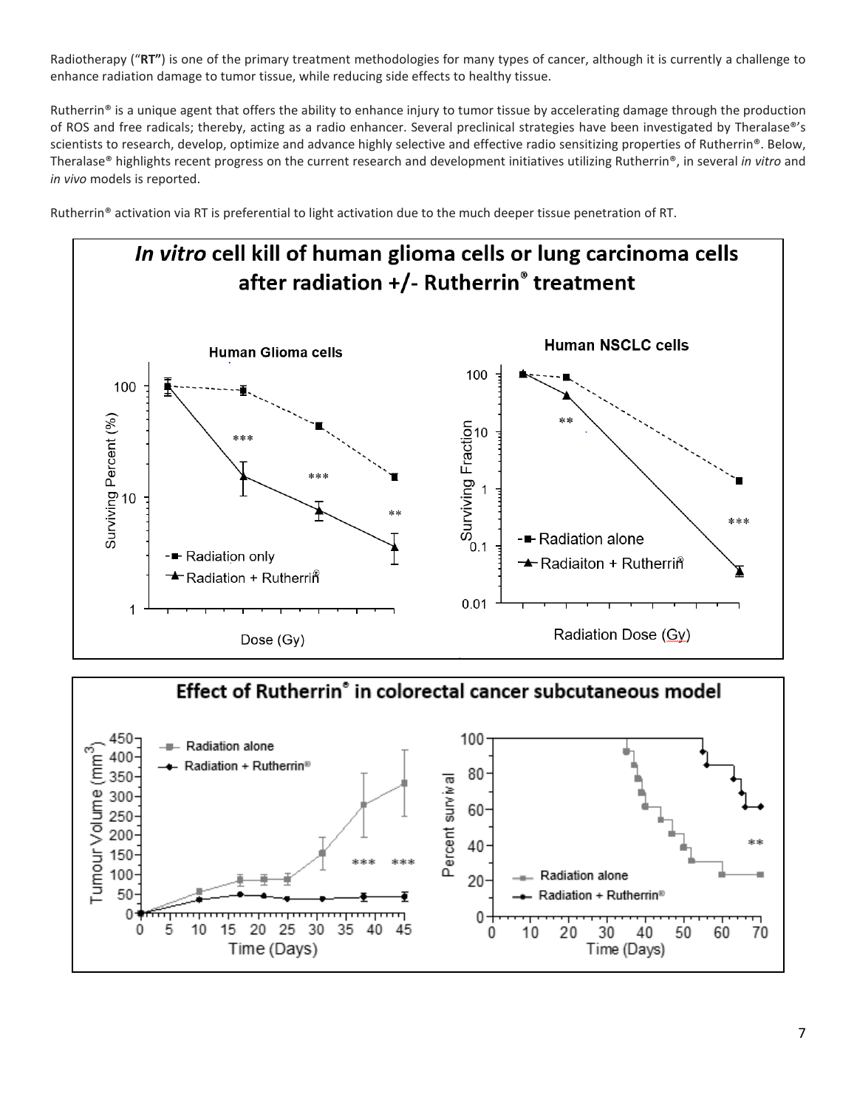Radiotherapy ("**RT"**) is one of the primary treatment methodologies for many types of cancer, although it is currently a challenge to enhance radiation damage to tumor tissue, while reducing side effects to healthy tissue.

Rutherrin<sup>®</sup> is a unique agent that offers the ability to enhance injury to tumor tissue by accelerating damage through the production of ROS and free radicals; thereby, acting as a radio enhancer. Several preclinical strategies have been investigated by Theralase®'s scientists to research, develop, optimize and advance highly selective and effective radio sensitizing properties of Rutherrin®. Below, Theralase® highlights recent progress on the current research and development initiatives utilizing Rutherrin®, in several *in vitro* and *in vivo* models is reported.

Rutherrin® activation via RT is preferential to light activation due to the much deeper tissue penetration of RT.



Effect of Rutherrin<sup>®</sup> in colorectal cancer subcutaneous model 450 100 - Radiation alone Radiation + Rutherrin<sup>®</sup> 80 Percent survival 60 40 Radiation alone  $20<sup>°</sup>$ Radiation + Rutherrin<sup>®</sup> 0 0 5 10 15 20 25 30 35 40 45 20 40 50 60 10 30 70 0 Time (Days) Time (Days)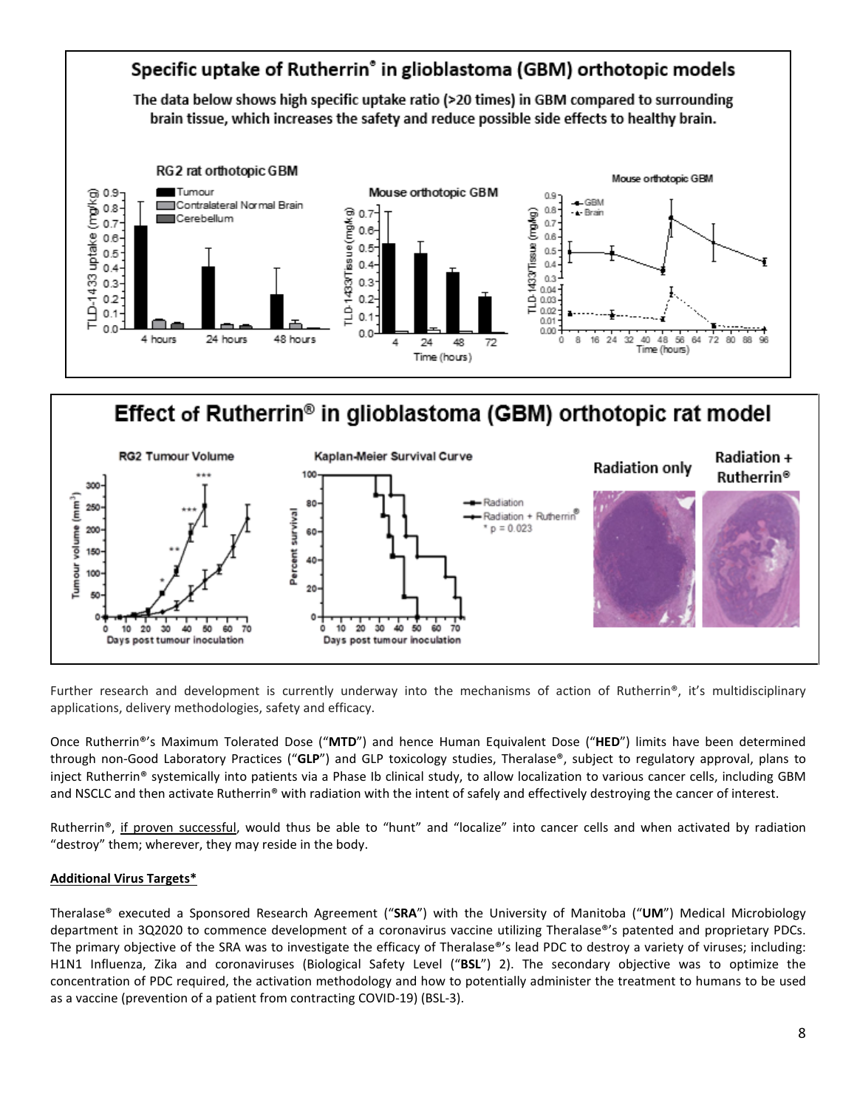

# Effect of Rutherrin<sup>®</sup> in glioblastoma (GBM) orthotopic rat model



Further research and development is currently underway into the mechanisms of action of Rutherrin®, it's multidisciplinary applications, delivery methodologies, safety and efficacy.

Once Rutherrin®'s Maximum Tolerated Dose ("**MTD**") and hence Human Equivalent Dose ("**HED**") limits have been determined through non-Good Laboratory Practices ("**GLP**") and GLP toxicology studies, Theralase®, subject to regulatory approval, plans to inject Rutherrin® systemically into patients via a Phase Ib clinical study, to allow localization to various cancer cells, including GBM and NSCLC and then activate Rutherrin® with radiation with the intent of safely and effectively destroying the cancer of interest.

Rutherrin®, if proven successful, would thus be able to "hunt" and "localize" into cancer cells and when activated by radiation "destroy" them; wherever, they may reside in the body.

# **Additional Virus Targets\***

Theralase® executed a Sponsored Research Agreement ("**SRA**") with the University of Manitoba ("**UM**") Medical Microbiology department in 3Q2020 to commence development of a coronavirus vaccine utilizing Theralase®'s patented and proprietary PDCs. The primary objective of the SRA was to investigate the efficacy of Theralase®'s lead PDC to destroy a variety of viruses; including: H1N1 Influenza, Zika and coronaviruses (Biological Safety Level ("**BSL**") 2). The secondary objective was to optimize the concentration of PDC required, the activation methodology and how to potentially administer the treatment to humans to be used as a vaccine (prevention of a patient from contracting COVID-19) (BSL-3).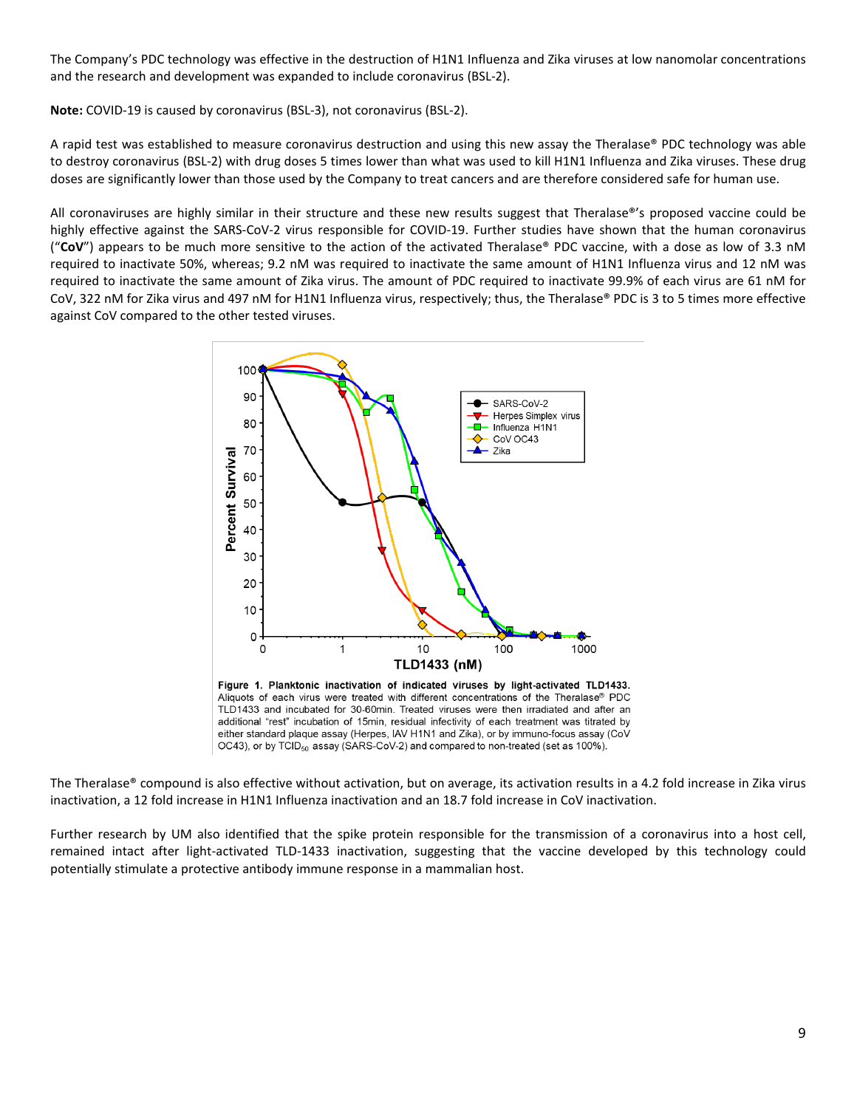The Company's PDC technology was effective in the destruction of H1N1 Influenza and Zika viruses at low nanomolar concentrations and the research and development was expanded to include coronavirus (BSL-2).

**Note:** COVID-19 is caused by coronavirus (BSL-3), not coronavirus (BSL-2).

A rapid test was established to measure coronavirus destruction and using this new assay the Theralase® PDC technology was able to destroy coronavirus (BSL-2) with drug doses 5 times lower than what was used to kill H1N1 Influenza and Zika viruses. These drug doses are significantly lower than those used by the Company to treat cancers and are therefore considered safe for human use.

All coronaviruses are highly similar in their structure and these new results suggest that Theralase®'s proposed vaccine could be highly effective against the SARS-CoV-2 virus responsible for COVID-19. Further studies have shown that the human coronavirus ("**CoV**") appears to be much more sensitive to the action of the activated Theralase® PDC vaccine, with a dose as low of 3.3 nM required to inactivate 50%, whereas; 9.2 nM was required to inactivate the same amount of H1N1 Influenza virus and 12 nM was required to inactivate the same amount of Zika virus. The amount of PDC required to inactivate 99.9% of each virus are 61 nM for CoV, 322 nM for Zika virus and 497 nM for H1N1 Influenza virus, respectively; thus, the Theralase® PDC is 3 to 5 times more effective against CoV compared to the other tested viruses.



The Theralase® compound is also effective without activation, but on average, its activation results in a 4.2 fold increase in Zika virus inactivation, a 12 fold increase in H1N1 Influenza inactivation and an 18.7 fold increase in CoV inactivation.

Further research by UM also identified that the spike protein responsible for the transmission of a coronavirus into a host cell, remained intact after light-activated TLD-1433 inactivation, suggesting that the vaccine developed by this technology could potentially stimulate a protective antibody immune response in a mammalian host.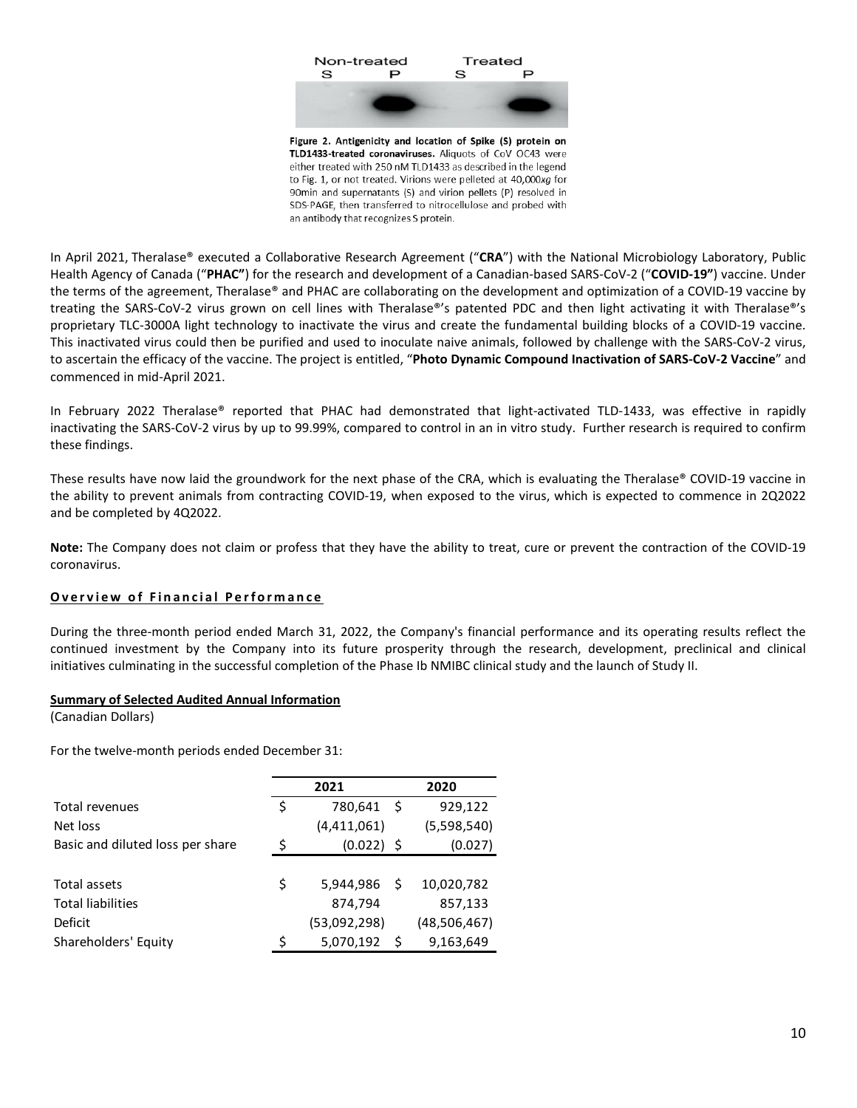

In April 2021, Theralase® executed a Collaborative Research Agreement ("**CRA**") with the National Microbiology Laboratory, Public Health Agency of Canada ("**PHAC"**) for the research and development of a Canadian-based SARS-CoV-2 ("**COVID-19"**) vaccine. Under the terms of the agreement, Theralase® and PHAC are collaborating on the development and optimization of a COVID-19 vaccine by treating the SARS-CoV-2 virus grown on cell lines with Theralase®'s patented PDC and then light activating it with Theralase®'s proprietary TLC-3000A light technology to inactivate the virus and create the fundamental building blocks of a COVID-19 vaccine. This inactivated virus could then be purified and used to inoculate naive animals, followed by challenge with the SARS-CoV-2 virus, to ascertain the efficacy of the vaccine. The project is entitled, "**Photo Dynamic Compound Inactivation of SARS-CoV-2 Vaccine**" and commenced in mid-April 2021.

In February 2022 Theralase® reported that PHAC had demonstrated that light-activated TLD-1433, was effective in rapidly inactivating the SARS-CoV-2 virus by up to 99.99%, compared to control in an in vitro study. Further research is required to confirm these findings.

These results have now laid the groundwork for the next phase of the CRA, which is evaluating the Theralase® COVID-19 vaccine in the ability to prevent animals from contracting COVID-19, when exposed to the virus, which is expected to commence in 2Q2022 and be completed by 4Q2022.

**Note:** The Company does not claim or profess that they have the ability to treat, cure or prevent the contraction of the COVID-19 coronavirus.

## **Overview of Financial Performance**

During the three-month period ended March 31, 2022, the Company's financial performance and its operating results reflect the continued investment by the Company into its future prosperity through the research, development, preclinical and clinical initiatives culminating in the successful completion of the Phase Ib NMIBC clinical study and the launch of Study II.

#### **Summary of Selected Audited Annual Information**

(Canadian Dollars)

For the twelve-month periods ended December 31:

|                                  |    | 2021         |     | 2020         |  |
|----------------------------------|----|--------------|-----|--------------|--|
| Total revenues                   | \$ | 780,641      | \$  | 929,122      |  |
| Net loss                         |    | (4,411,061)  |     | (5,598,540)  |  |
| Basic and diluted loss per share | Ś  | $(0.022)$ \$ |     | (0.027)      |  |
|                                  |    |              |     |              |  |
| Total assets                     | Ś  | 5,944,986    | S   | 10,020,782   |  |
| <b>Total liabilities</b>         |    | 874,794      |     | 857,133      |  |
| Deficit                          |    | (53,092,298) |     | (48,506,467) |  |
| Shareholders' Equity             | ς  | 5,070,192    | -\$ | 9,163,649    |  |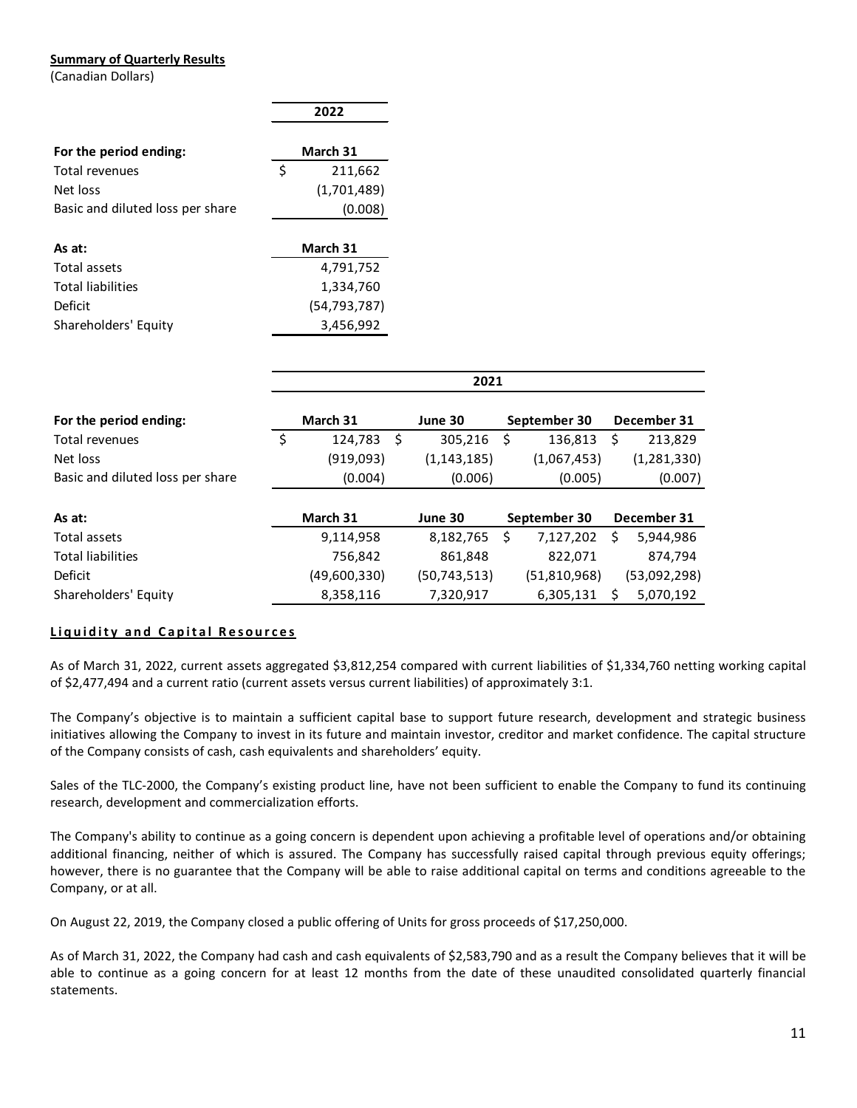#### **Summary of Quarterly Results**

(Canadian Dollars)

|                                  |    | 2022        |
|----------------------------------|----|-------------|
| For the period ending:           |    | March 31    |
| Total revenues                   | Ŝ. | 211,662     |
| Net loss                         |    | (1,701,489) |
| Basic and diluted loss per share |    | (0.008)     |
| As at:                           |    | March 31    |

| Total assets         | 4,791,752      |
|----------------------|----------------|
| Total liabilities    | 1.334.760      |
| Deficit              | (54, 793, 787) |
| Shareholders' Equity | 3,456,992      |
|                      |                |

|                                  |               |    | 2021           |                 |   |               |
|----------------------------------|---------------|----|----------------|-----------------|---|---------------|
| For the period ending:           | March 31      |    | June 30        | September 30    |   | December 31   |
| Total revenues                   | \$<br>124,783 | -S | 305,216        | \$<br>136,813   | S | 213,829       |
| Net loss                         | (919,093)     |    | (1, 143, 185)  | (1,067,453)     |   | (1, 281, 330) |
| Basic and diluted loss per share | (0.004)       |    | (0.006)        | (0.005)         |   | (0.007)       |
|                                  |               |    |                |                 |   |               |
| As at:                           | March 31      |    | June 30        | September 30    |   | December 31   |
| Total assets                     | 9,114,958     |    | 8,182,765      | \$<br>7,127,202 | S | 5,944,986     |
| <b>Total liabilities</b>         | 756,842       |    | 861,848        | 822,071         |   | 874,794       |
| Deficit                          | (49,600,330)  |    | (50, 743, 513) | (51, 810, 968)  |   | (53,092,298)  |
| Shareholders' Equity             | 8,358,116     |    | 7,320,917      | 6,305,131       | Ś | 5,070,192     |

## **L iquid ity a n d Cap ita l Res o urces**

As of March 31, 2022, current assets aggregated \$3,812,254 compared with current liabilities of \$1,334,760 netting working capital of \$2,477,494 and a current ratio (current assets versus current liabilities) of approximately 3:1.

The Company's objective is to maintain a sufficient capital base to support future research, development and strategic business initiatives allowing the Company to invest in its future and maintain investor, creditor and market confidence. The capital structure of the Company consists of cash, cash equivalents and shareholders' equity.

Sales of the TLC-2000, the Company's existing product line, have not been sufficient to enable the Company to fund its continuing research, development and commercialization efforts.

The Company's ability to continue as a going concern is dependent upon achieving a profitable level of operations and/or obtaining additional financing, neither of which is assured. The Company has successfully raised capital through previous equity offerings; however, there is no guarantee that the Company will be able to raise additional capital on terms and conditions agreeable to the Company, or at all.

On August 22, 2019, the Company closed a public offering of Units for gross proceeds of \$17,250,000.

As of March 31, 2022, the Company had cash and cash equivalents of \$2,583,790 and as a result the Company believes that it will be able to continue as a going concern for at least 12 months from the date of these unaudited consolidated quarterly financial statements.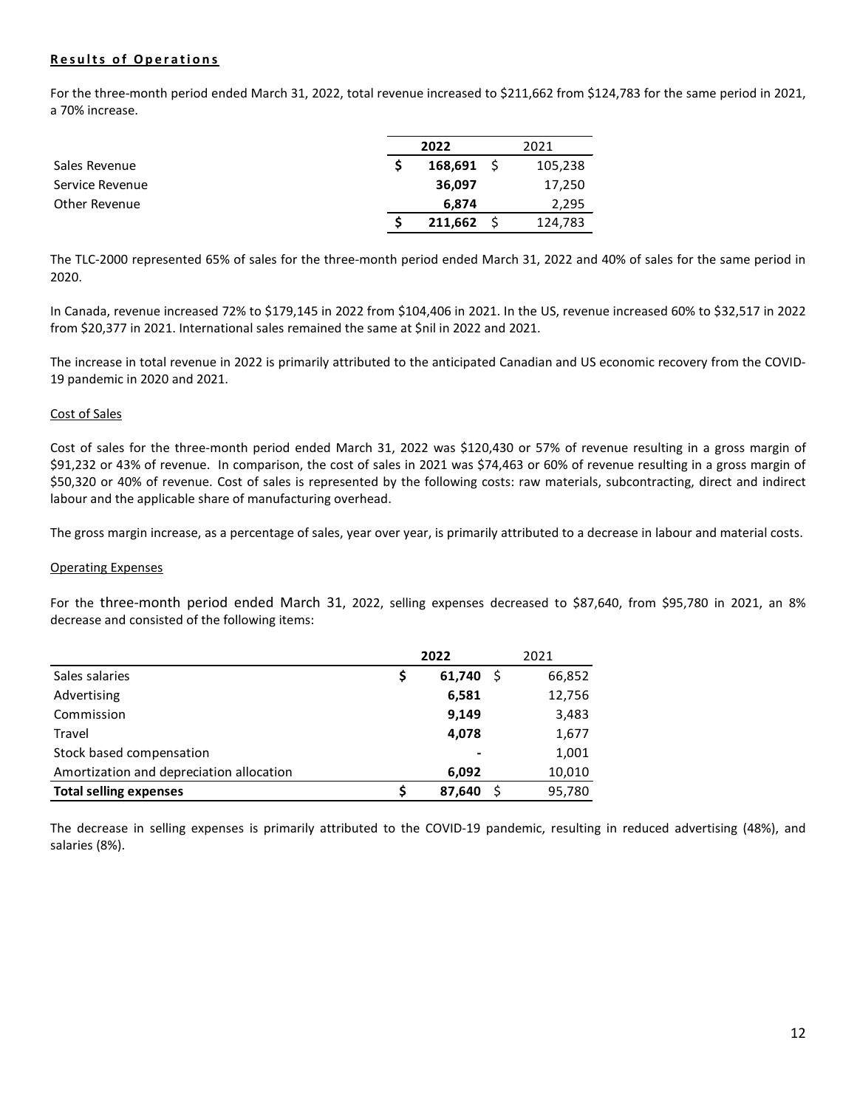## **Results of Operations**

For the three-month period ended March 31, 2022, total revenue increased to \$211,662 from \$124,783 for the same period in 2021, a 70% increase.

|                 | 2022    | 2021    |
|-----------------|---------|---------|
| Sales Revenue   | 168,691 | 105,238 |
| Service Revenue | 36,097  | 17,250  |
| Other Revenue   | 6,874   | 2,295   |
|                 | 211,662 | 124,783 |

The TLC-2000 represented 65% of sales for the three-month period ended March 31, 2022 and 40% of sales for the same period in 2020.

In Canada, revenue increased 72% to \$179,145 in 2022 from \$104,406 in 2021. In the US, revenue increased 60% to \$32,517 in 2022 from \$20,377 in 2021. International sales remained the same at \$nil in 2022 and 2021.

The increase in total revenue in 2022 is primarily attributed to the anticipated Canadian and US economic recovery from the COVID-19 pandemic in 2020 and 2021.

#### Cost of Sales

Cost of sales for the three-month period ended March 31, 2022 was \$120,430 or 57% of revenue resulting in a gross margin of \$91,232 or 43% of revenue. In comparison, the cost of sales in 2021 was \$74,463 or 60% of revenue resulting in a gross margin of \$50,320 or 40% of revenue. Cost of sales is represented by the following costs: raw materials, subcontracting, direct and indirect labour and the applicable share of manufacturing overhead.

The gross margin increase, as a percentage of sales, year over year, is primarily attributed to a decrease in labour and material costs.

#### Operating Expenses

For the three-month period ended March 31, 2022, selling expenses decreased to \$87,640, from \$95,780 in 2021, an 8% decrease and consisted of the following items:

|                                          |    | 2022   | 2021   |
|------------------------------------------|----|--------|--------|
| Sales salaries                           | \$ | 61,740 | 66,852 |
| Advertising                              |    | 6,581  | 12,756 |
| Commission                               |    | 9,149  | 3,483  |
| Travel                                   |    | 4,078  | 1,677  |
| Stock based compensation                 |    |        | 1,001  |
| Amortization and depreciation allocation |    | 6,092  | 10,010 |
| <b>Total selling expenses</b>            | S  | 87.640 | 95,780 |

The decrease in selling expenses is primarily attributed to the COVID-19 pandemic, resulting in reduced advertising (48%), and salaries (8%).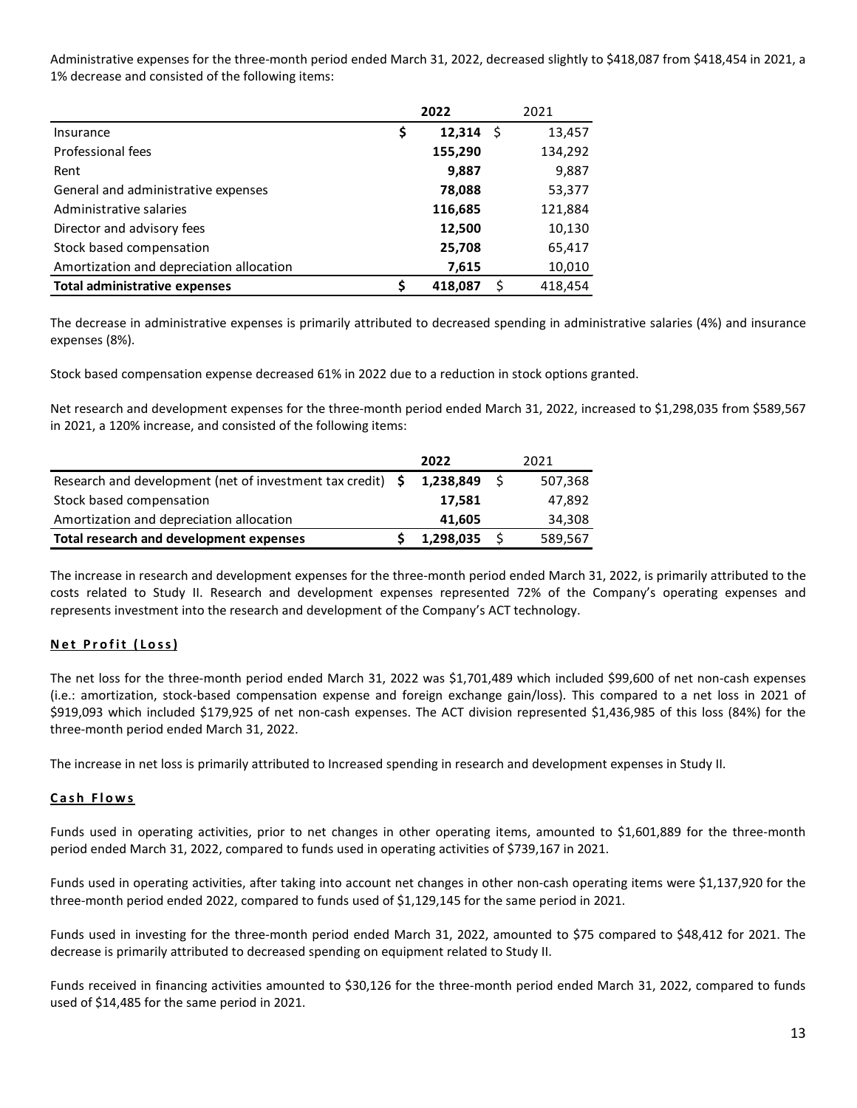Administrative expenses for the three-month period ended March 31, 2022, decreased slightly to \$418,087 from \$418,454 in 2021, a 1% decrease and consisted of the following items:

|                                          | 2022          |    | 2021    |
|------------------------------------------|---------------|----|---------|
| Insurance                                | \$<br>12,314  | Ŝ. | 13,457  |
| Professional fees                        | 155,290       |    | 134,292 |
| Rent                                     | 9,887         |    | 9,887   |
| General and administrative expenses      | 78,088        |    | 53,377  |
| Administrative salaries                  | 116,685       |    | 121,884 |
| Director and advisory fees               | 12,500        |    | 10,130  |
| Stock based compensation                 | 25,708        |    | 65,417  |
| Amortization and depreciation allocation | 7,615         |    | 10,010  |
| <b>Total administrative expenses</b>     | \$<br>418,087 | \$ | 418.454 |

The decrease in administrative expenses is primarily attributed to decreased spending in administrative salaries (4%) and insurance expenses (8%).

Stock based compensation expense decreased 61% in 2022 due to a reduction in stock options granted.

Net research and development expenses for the three-month period ended March 31, 2022, increased to \$1,298,035 from \$589,567 in 2021, a 120% increase, and consisted of the following items:

|                                                                 | 2022      | 2021    |
|-----------------------------------------------------------------|-----------|---------|
| Research and development (net of investment tax credit) $\oint$ | 1,238,849 | 507,368 |
| Stock based compensation                                        | 17,581    | 47,892  |
| Amortization and depreciation allocation                        | 41.605    | 34,308  |
| Total research and development expenses                         | 1,298,035 | 589,567 |

The increase in research and development expenses for the three-month period ended March 31, 2022, is primarily attributed to the costs related to Study II. Research and development expenses represented 72% of the Company's operating expenses and represents investment into the research and development of the Company's ACT technology.

## **Net Profit (Loss)**

The net loss for the three-month period ended March 31, 2022 was \$1,701,489 which included \$99,600 of net non-cash expenses (i.e.: amortization, stock-based compensation expense and foreign exchange gain/loss). This compared to a net loss in 2021 of \$919,093 which included \$179,925 of net non-cash expenses. The ACT division represented \$1,436,985 of this loss (84%) for the three-month period ended March 31, 2022.

The increase in net loss is primarily attributed to Increased spending in research and development expenses in Study II.

## **Cash Flo w s**

Funds used in operating activities, prior to net changes in other operating items, amounted to \$1,601,889 for the three-month period ended March 31, 2022, compared to funds used in operating activities of \$739,167 in 2021.

Funds used in operating activities, after taking into account net changes in other non-cash operating items were \$1,137,920 for the three-month period ended 2022, compared to funds used of \$1,129,145 for the same period in 2021.

Funds used in investing for the three-month period ended March 31, 2022, amounted to \$75 compared to \$48,412 for 2021. The decrease is primarily attributed to decreased spending on equipment related to Study II.

Funds received in financing activities amounted to \$30,126 for the three-month period ended March 31, 2022, compared to funds used of \$14,485 for the same period in 2021.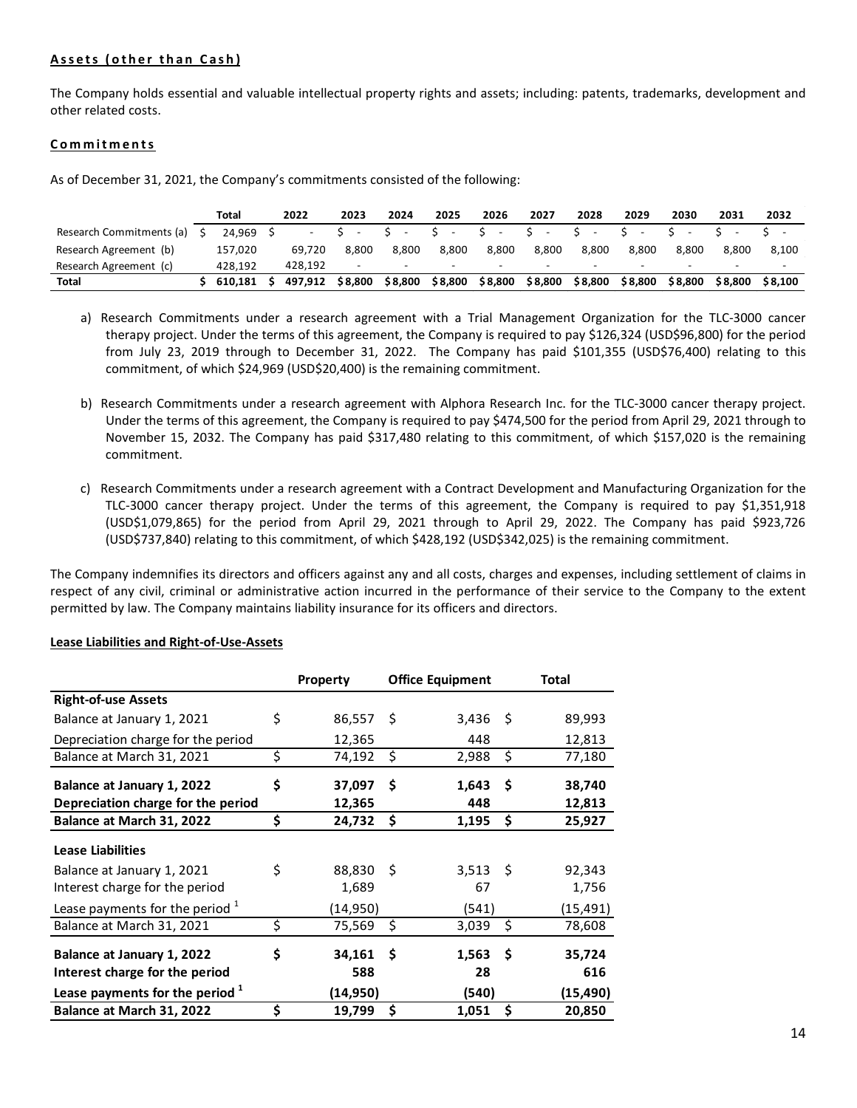## **Assets (other than Cash)**

The Company holds essential and valuable intellectual property rights and assets; including: patents, trademarks, development and other related costs.

#### **C o m m itments**

As of December 31, 2021, the Company's commitments consisted of the following:

|                          | Total    | 2022    | 2023    | 2024    | 2025    | 2026                     | 2027                     | 2028                     | 2029                     | 2030                     | 2031    | 2032    |
|--------------------------|----------|---------|---------|---------|---------|--------------------------|--------------------------|--------------------------|--------------------------|--------------------------|---------|---------|
| Research Commitments (a) | 24.969 S |         |         |         |         | S.<br>$\sim$             | $S -$                    |                          |                          |                          |         |         |
| Research Agreement (b)   | 157,020  | 69.720  | 8.800   | 8.800   | 8.800   | 8.800                    | 8.800                    | 8.800                    | 8.800                    | 8.800                    | 8.800   | 8.100   |
| Research Agreement (c)   | 428.192  | 428.192 | -       | -       |         | $\overline{\phantom{0}}$ | $\overline{\phantom{0}}$ | $\overline{\phantom{0}}$ | $\overline{\phantom{0}}$ | $\overline{\phantom{0}}$ |         |         |
| Total                    | 610.181  | 497.912 | \$8.800 | \$8,800 | \$8.800 | \$8,800                  | \$8,800                  | \$8.800                  | \$8.800                  | \$8.800                  | \$8.800 | \$8.100 |

a) Research Commitments under a research agreement with a Trial Management Organization for the TLC-3000 cancer therapy project. Under the terms of this agreement, the Company is required to pay \$126,324 (USD\$96,800) for the period from July 23, 2019 through to December 31, 2022. The Company has paid \$101,355 (USD\$76,400) relating to this commitment, of which \$24,969 (USD\$20,400) is the remaining commitment.

- b) Research Commitments under a research agreement with Alphora Research Inc. for the TLC-3000 cancer therapy project. Under the terms of this agreement, the Company is required to pay \$474,500 for the period from April 29, 2021 through to November 15, 2032. The Company has paid \$317,480 relating to this commitment, of which \$157,020 is the remaining commitment.
- c) Research Commitments under a research agreement with a Contract Development and Manufacturing Organization for the TLC-3000 cancer therapy project. Under the terms of this agreement, the Company is required to pay \$1,351,918 (USD\$1,079,865) for the period from April 29, 2021 through to April 29, 2022. The Company has paid \$923,726 (USD\$737,840) relating to this commitment, of which \$428,192 (USD\$342,025) is the remaining commitment.

The Company indemnifies its directors and officers against any and all costs, charges and expenses, including settlement of claims in respect of any civil, criminal or administrative action incurred in the performance of their service to the Company to the extent permitted by law. The Company maintains liability insurance for its officers and directors.

|                                                                  | Property               |     | <b>Office Equipment</b> |      | Total            |
|------------------------------------------------------------------|------------------------|-----|-------------------------|------|------------------|
| <b>Right-of-use Assets</b>                                       |                        |     |                         |      |                  |
| Balance at January 1, 2021                                       | \$<br>86,557           | -S  | 3,436                   | - \$ | 89,993           |
| Depreciation charge for the period                               | 12,365                 |     | 448                     |      | 12,813           |
| Balance at March 31, 2021                                        | \$<br>74,192           | \$  | 2,988                   | \$   | 77,180           |
| Balance at January 1, 2022<br>Depreciation charge for the period | \$<br>37,097<br>12,365 | S   | 1,643<br>448            | - S  | 38,740<br>12,813 |
| Balance at March 31, 2022                                        | \$<br>24,732           | \$  | 1,195                   | \$   | 25,927           |
| <b>Lease Liabilities</b>                                         |                        |     |                         |      |                  |
| Balance at January 1, 2021                                       | \$<br>88,830           | Ŝ   | $3,513$ \$              |      | 92,343           |
| Interest charge for the period                                   | 1,689                  |     | 67                      |      | 1,756            |
| Lease payments for the period $1$                                | (14, 950)              |     | (541)                   |      | (15,491)         |
| Balance at March 31, 2021                                        | \$<br>75,569           | \$  | 3,039                   | \$   | 78,608           |
| Balance at January 1, 2022<br>Interest charge for the period     | \$<br>34,161<br>588    | \$. | 1,563<br>28             | . S  | 35,724<br>616    |
| Lease payments for the period <sup>1</sup>                       | (14,950)               |     | (540)                   |      | (15,490)         |
| Balance at March 31, 2022                                        | \$<br>19,799           | \$  | 1,051                   | Ś    | 20,850           |

#### **Lease Liabilities and Right-of-Use-Assets**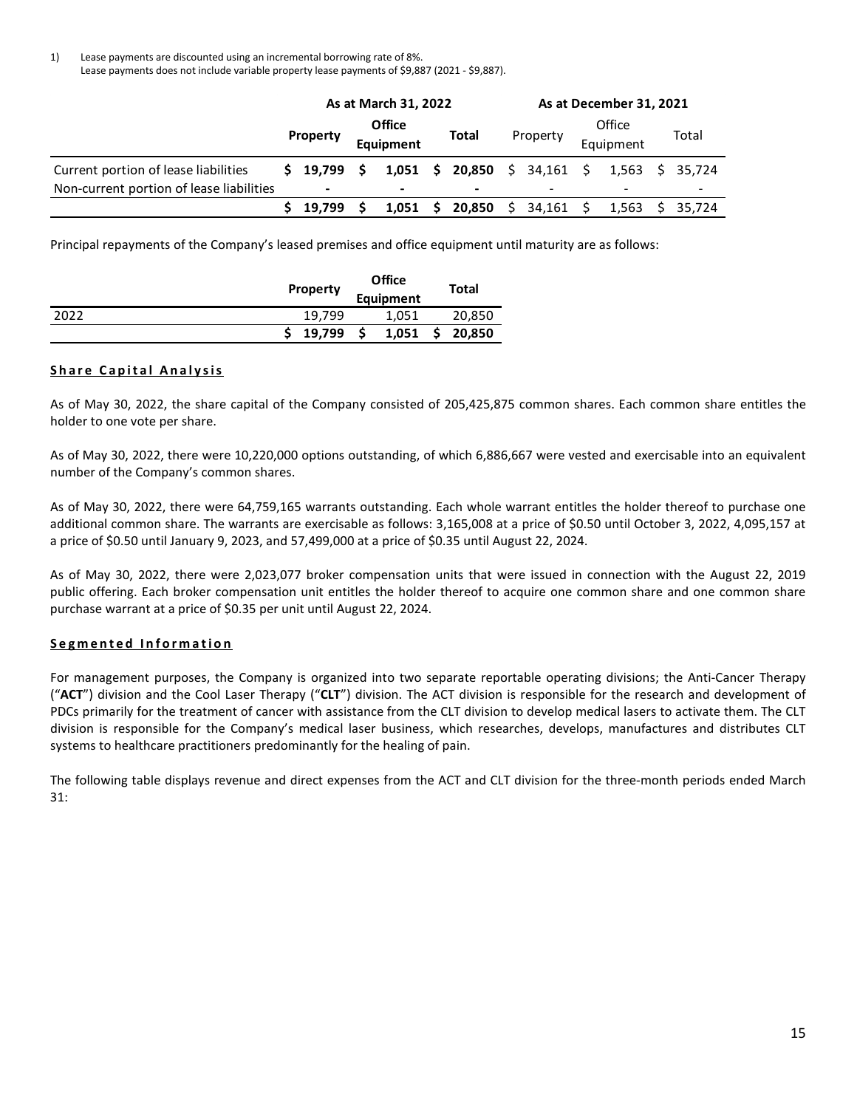1) Lease payments are discounted using an incremental borrowing rate of 8%. Lease payments does not include variable property lease payments of \$9,887 (2021 - \$9,887).

|                                          | As at March 31, 2022 |                          |                            |       |    |                              |  | As at December 31, 2021  |  |           |       |                 |  |  |
|------------------------------------------|----------------------|--------------------------|----------------------------|-------|----|------------------------------|--|--------------------------|--|-----------|-------|-----------------|--|--|
|                                          |                      |                          | <b>Office</b><br>Equipment |       |    |                              |  |                          |  | Office    |       |                 |  |  |
|                                          |                      | <b>Property</b>          |                            |       |    | Total                        |  | Property                 |  | Equipment | Total |                 |  |  |
| Current portion of lease liabilities     |                      | \$19,799                 | - S                        |       |    | 1,051 \$ 20,850 \$ 34,161 \$ |  |                          |  |           |       | 1.563 \$ 35.724 |  |  |
| Non-current portion of lease liabilities |                      | $\overline{\phantom{a}}$ |                            | ۰     |    |                              |  | $\overline{\phantom{0}}$ |  |           |       |                 |  |  |
|                                          |                      | 19.799                   |                            | 1,051 | S. | $20,850 \quad \text{S}$      |  | 34,161                   |  | 1,563     |       | 35,724          |  |  |

Principal repayments of the Company's leased premises and office equipment until maturity are as follows:

|      | <b>Property</b> | Office    | Total  |
|------|-----------------|-----------|--------|
|      |                 | Equipment |        |
| 2022 | 19.799          | 1,051     | 20,850 |
|      | 19,799          | 1,051     | 20,850 |

## **Share Capital Analysis**

As of May 30, 2022, the share capital of the Company consisted of 205,425,875 common shares. Each common share entitles the holder to one vote per share.

As of May 30, 2022, there were 10,220,000 options outstanding, of which 6,886,667 were vested and exercisable into an equivalent number of the Company's common shares.

As of May 30, 2022, there were 64,759,165 warrants outstanding. Each whole warrant entitles the holder thereof to purchase one additional common share. The warrants are exercisable as follows: 3,165,008 at a price of \$0.50 until October 3, 2022, 4,095,157 at a price of \$0.50 until January 9, 2023, and 57,499,000 at a price of \$0.35 until August 22, 2024.

As of May 30, 2022, there were 2,023,077 broker compensation units that were issued in connection with the August 22, 2019 public offering. Each broker compensation unit entitles the holder thereof to acquire one common share and one common share purchase warrant at a price of \$0.35 per unit until August 22, 2024.

## **Segm ente d Informatio n**

For management purposes, the Company is organized into two separate reportable operating divisions; the Anti-Cancer Therapy ("**ACT**") division and the Cool Laser Therapy ("**CLT**") division. The ACT division is responsible for the research and development of PDCs primarily for the treatment of cancer with assistance from the CLT division to develop medical lasers to activate them. The CLT division is responsible for the Company's medical laser business, which researches, develops, manufactures and distributes CLT systems to healthcare practitioners predominantly for the healing of pain.

The following table displays revenue and direct expenses from the ACT and CLT division for the three-month periods ended March 31: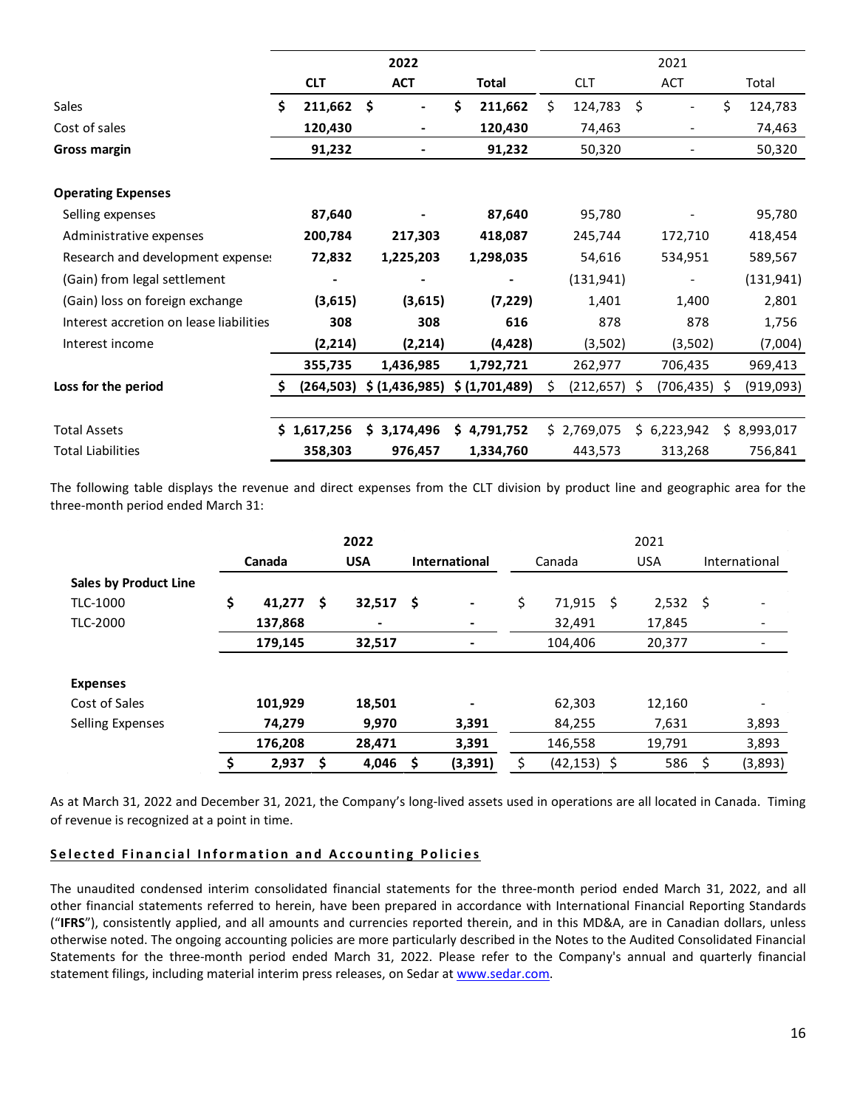|                                         |               | 2022           |               |   |             |    | 2021            |               |
|-----------------------------------------|---------------|----------------|---------------|---|-------------|----|-----------------|---------------|
|                                         | <b>CLT</b>    | <b>ACT</b>     | Total         |   | <b>CLT</b>  |    | <b>ACT</b>      | Total         |
| Sales                                   | \$<br>211,662 | \$             | \$<br>211,662 | Ś | 124,783     | \$ |                 | \$<br>124,783 |
| Cost of sales                           | 120,430       |                | 120,430       |   | 74,463      |    |                 | 74,463        |
| <b>Gross margin</b>                     | 91,232        |                | 91,232        |   | 50,320      |    |                 | 50,320        |
|                                         |               |                |               |   |             |    |                 |               |
| <b>Operating Expenses</b>               |               |                |               |   |             |    |                 |               |
| Selling expenses                        | 87,640        |                | 87,640        |   | 95,780      |    |                 | 95,780        |
| Administrative expenses                 | 200,784       | 217,303        | 418,087       |   | 245,744     |    | 172,710         | 418,454       |
| Research and development expense:       | 72,832        | 1,225,203      | 1,298,035     |   | 54,616      |    | 534,951         | 589,567       |
| (Gain) from legal settlement            |               |                |               |   | (131, 941)  |    |                 | (131, 941)    |
| (Gain) loss on foreign exchange         | (3,615)       | (3,615)        | (7, 229)      |   | 1,401       |    | 1,400           | 2,801         |
| Interest accretion on lease liabilities | 308           | 308            | 616           |   | 878         |    | 878             | 1,756         |
| Interest income                         | (2, 214)      | (2, 214)       | (4, 428)      |   | (3,502)     |    | (3,502)         | (7,004)       |
|                                         | 355,735       | 1,436,985      | 1,792,721     |   | 262,977     |    | 706,435         | 969,413       |
| Loss for the period                     | (264, 503)    | \$ (1,436,985) | \$(1,701,489) | Ś | (212, 657)  | S. | $(706, 435)$ \$ | (919,093)     |
|                                         |               |                |               |   |             |    |                 |               |
| <b>Total Assets</b>                     | \$1,617,256   | \$3,174,496    | \$4,791,752   |   | \$2,769,075 |    | \$6,223,942     | \$8,993,017   |
| <b>Total Liabilities</b>                | 358,303       | 976,457        | 1,334,760     |   | 443,573     |    | 313,268         | 756,841       |

The following table displays the revenue and direct expenses from the CLT division by product line and geographic area for the three-month period ended March 31:

|                              |        |         |            | 2022           |                      |                |        |                |            |            |               |         |
|------------------------------|--------|---------|------------|----------------|----------------------|----------------|--------|----------------|------------|------------|---------------|---------|
|                              | Canada |         | <b>USA</b> |                | <b>International</b> |                | Canada |                | <b>USA</b> |            | International |         |
| <b>Sales by Product Line</b> |        |         |            |                |                      |                |        |                |            |            |               |         |
| TLC-1000                     | \$     | 41,277  | Ŝ.         | 32,517         | - \$                 | $\blacksquare$ | \$     | 71,915         | -S         | $2,532$ \$ |               |         |
| TLC-2000                     |        | 137,868 |            | $\blacksquare$ |                      |                |        | 32,491         |            | 17,845     |               |         |
|                              |        | 179,145 |            | 32,517         |                      | ٠              |        | 104,406        |            | 20,377     |               |         |
|                              |        |         |            |                |                      |                |        |                |            |            |               |         |
| <b>Expenses</b>              |        |         |            |                |                      |                |        |                |            |            |               |         |
| Cost of Sales                |        | 101,929 |            | 18,501         |                      | ۰              |        | 62,303         |            | 12,160     |               |         |
| <b>Selling Expenses</b>      |        | 74,279  |            | 9,970          |                      | 3,391          |        | 84,255         |            | 7,631      |               | 3,893   |
|                              |        | 176,208 |            | 28,471         |                      | 3,391          |        | 146,558        |            | 19,791     |               | 3,893   |
|                              | \$     | 2,937   | \$         | 4,046          | \$                   | (3, 391)       |        | $(42, 153)$ \$ |            | 586        | -\$           | (3,893) |

As at March 31, 2022 and December 31, 2021, the Company's long-lived assets used in operations are all located in Canada. Timing of revenue is recognized at a point in time.

## **Sele cted Fin anci al I nformati o n a n d A c counti n g Pol icies**

The unaudited condensed interim consolidated financial statements for the three-month period ended March 31, 2022, and all other financial statements referred to herein, have been prepared in accordance with International Financial Reporting Standards ("**IFRS**"), consistently applied, and all amounts and currencies reported therein, and in this MD&A, are in Canadian dollars, unless otherwise noted. The ongoing accounting policies are more particularly described in the Notes to the Audited Consolidated Financial Statements for the three-month period ended March 31, 2022. Please refer to the Company's annual and quarterly financial statement filings, including material interim press releases, on Sedar at [www.sedar.com.](http://www.sedar.com/)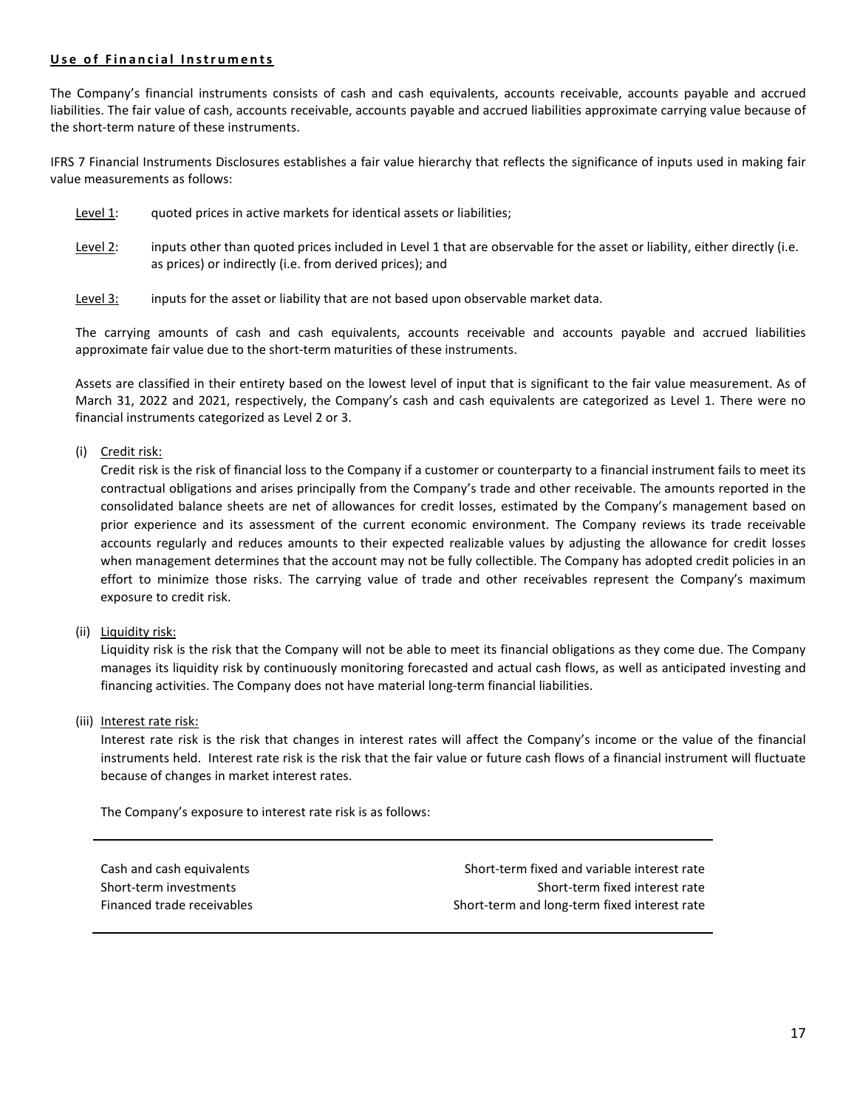## **Use of Financial Instruments**

The Company's financial instruments consists of cash and cash equivalents, accounts receivable, accounts payable and accrued liabilities. The fair value of cash, accounts receivable, accounts payable and accrued liabilities approximate carrying value because of the short-term nature of these instruments.

IFRS 7 Financial Instruments Disclosures establishes a fair value hierarchy that reflects the significance of inputs used in making fair value measurements as follows:

- Level 1: guoted prices in active markets for identical assets or liabilities;
- Level 2: inputs other than quoted prices included in Level 1 that are observable for the asset or liability, either directly (i.e. as prices) or indirectly (i.e. from derived prices); and
- Level 3: inputs for the asset or liability that are not based upon observable market data.

The carrying amounts of cash and cash equivalents, accounts receivable and accounts payable and accrued liabilities approximate fair value due to the short-term maturities of these instruments.

Assets are classified in their entirety based on the lowest level of input that is significant to the fair value measurement. As of March 31, 2022 and 2021, respectively, the Company's cash and cash equivalents are categorized as Level 1. There were no financial instruments categorized as Level 2 or 3.

## (i) Credit risk:

Credit risk is the risk of financial loss to the Company if a customer or counterparty to a financial instrument fails to meet its contractual obligations and arises principally from the Company's trade and other receivable. The amounts reported in the consolidated balance sheets are net of allowances for credit losses, estimated by the Company's management based on prior experience and its assessment of the current economic environment. The Company reviews its trade receivable accounts regularly and reduces amounts to their expected realizable values by adjusting the allowance for credit losses when management determines that the account may not be fully collectible. The Company has adopted credit policies in an effort to minimize those risks. The carrying value of trade and other receivables represent the Company's maximum exposure to credit risk.

(ii) Liquidity risk:

Liquidity risk is the risk that the Company will not be able to meet its financial obligations as they come due. The Company manages its liquidity risk by continuously monitoring forecasted and actual cash flows, as well as anticipated investing and financing activities. The Company does not have material long-term financial liabilities.

(iii) Interest rate risk:

Interest rate risk is the risk that changes in interest rates will affect the Company's income or the value of the financial instruments held. Interest rate risk is the risk that the fair value or future cash flows of a financial instrument will fluctuate because of changes in market interest rates.

The Company's exposure to interest rate risk is as follows:

Cash and cash equivalents Short-term fixed and variable interest rate Short-term investments Short-term fixed interest rate Financed trade receivables Short-term and long-term fixed interest rate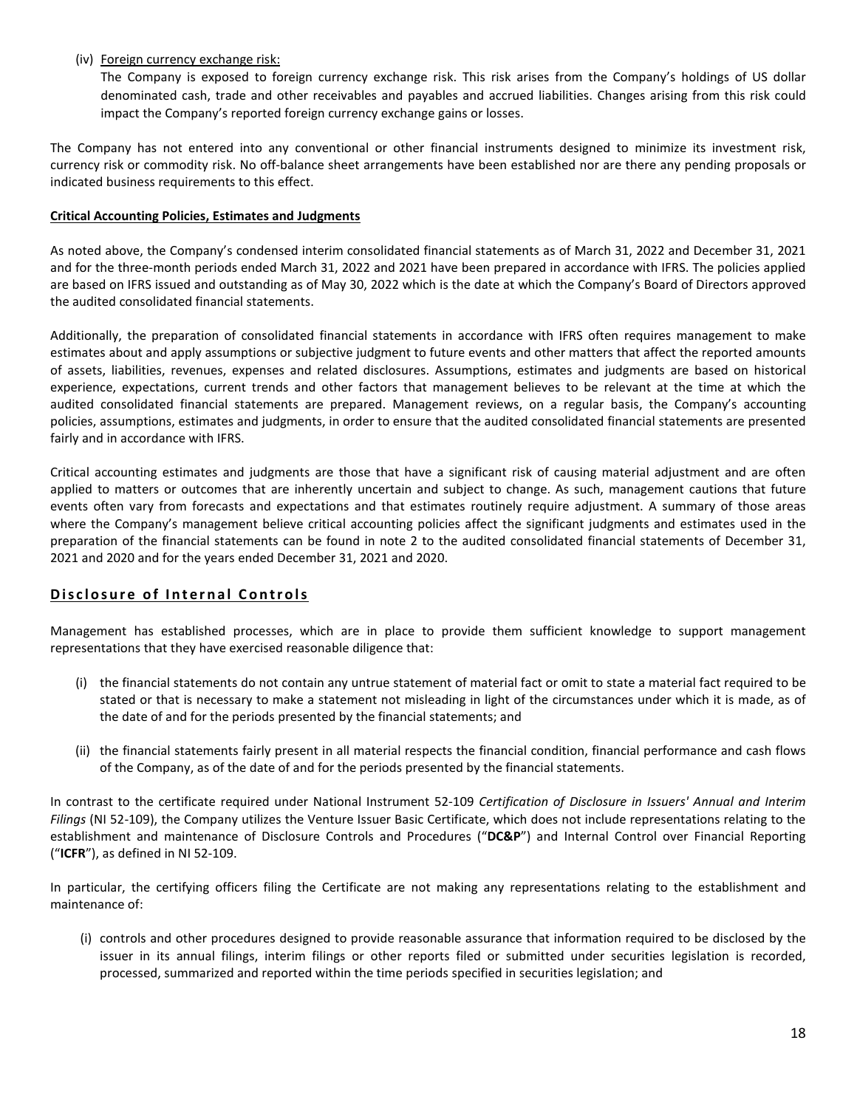## (iv) Foreign currency exchange risk:

The Company is exposed to foreign currency exchange risk. This risk arises from the Company's holdings of US dollar denominated cash, trade and other receivables and payables and accrued liabilities. Changes arising from this risk could impact the Company's reported foreign currency exchange gains or losses.

The Company has not entered into any conventional or other financial instruments designed to minimize its investment risk, currency risk or commodity risk. No off-balance sheet arrangements have been established nor are there any pending proposals or indicated business requirements to this effect.

## **Critical Accounting Policies, Estimates and Judgments**

As noted above, the Company's condensed interim consolidated financial statements as of March 31, 2022 and December 31, 2021 and for the three-month periods ended March 31, 2022 and 2021 have been prepared in accordance with IFRS. The policies applied are based on IFRS issued and outstanding as of May 30, 2022 which is the date at which the Company's Board of Directors approved the audited consolidated financial statements.

Additionally, the preparation of consolidated financial statements in accordance with IFRS often requires management to make estimates about and apply assumptions or subjective judgment to future events and other matters that affect the reported amounts of assets, liabilities, revenues, expenses and related disclosures. Assumptions, estimates and judgments are based on historical experience, expectations, current trends and other factors that management believes to be relevant at the time at which the audited consolidated financial statements are prepared. Management reviews, on a regular basis, the Company's accounting policies, assumptions, estimates and judgments, in order to ensure that the audited consolidated financial statements are presented fairly and in accordance with IFRS.

Critical accounting estimates and judgments are those that have a significant risk of causing material adjustment and are often applied to matters or outcomes that are inherently uncertain and subject to change. As such, management cautions that future events often vary from forecasts and expectations and that estimates routinely require adjustment. A summary of those areas where the Company's management believe critical accounting policies affect the significant judgments and estimates used in the preparation of the financial statements can be found in note 2 to the audited consolidated financial statements of December 31, 2021 and 2020 and for the years ended December 31, 2021 and 2020.

# **Disclosure of Internal Controls**

Management has established processes, which are in place to provide them sufficient knowledge to support management representations that they have exercised reasonable diligence that:

- (i) the financial statements do not contain any untrue statement of material fact or omit to state a material fact required to be stated or that is necessary to make a statement not misleading in light of the circumstances under which it is made, as of the date of and for the periods presented by the financial statements; and
- (ii) the financial statements fairly present in all material respects the financial condition, financial performance and cash flows of the Company, as of the date of and for the periods presented by the financial statements.

In contrast to the certificate required under National Instrument 52-109 *Certification of Disclosure in Issuers' Annual and Interim Filings* (NI 52-109), the Company utilizes the Venture Issuer Basic Certificate, which does not include representations relating to the establishment and maintenance of Disclosure Controls and Procedures ("**DC&P**") and Internal Control over Financial Reporting ("**ICFR**"), as defined in NI 52-109.

In particular, the certifying officers filing the Certificate are not making any representations relating to the establishment and maintenance of:

(i) controls and other procedures designed to provide reasonable assurance that information required to be disclosed by the issuer in its annual filings, interim filings or other reports filed or submitted under securities legislation is recorded, processed, summarized and reported within the time periods specified in securities legislation; and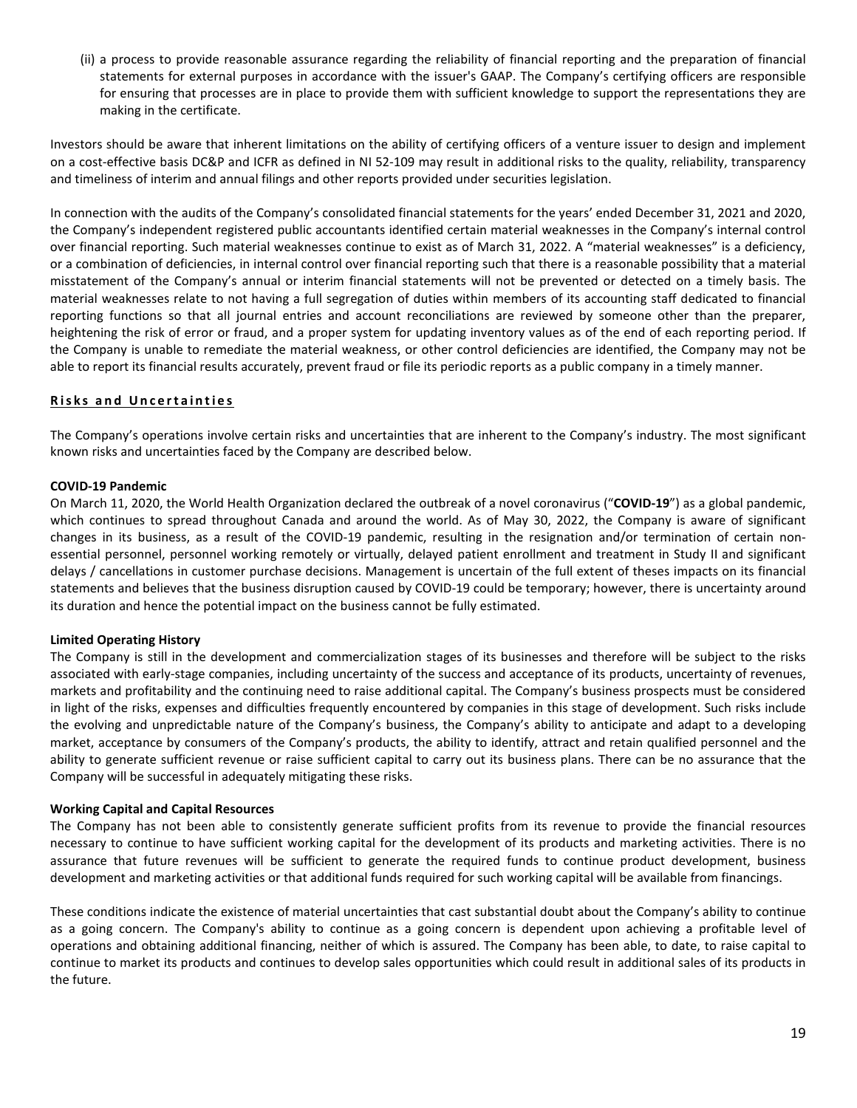(ii) a process to provide reasonable assurance regarding the reliability of financial reporting and the preparation of financial statements for external purposes in accordance with the issuer's GAAP. The Company's certifying officers are responsible for ensuring that processes are in place to provide them with sufficient knowledge to support the representations they are making in the certificate.

Investors should be aware that inherent limitations on the ability of certifying officers of a venture issuer to design and implement on a cost-effective basis DC&P and ICFR as defined in NI 52-109 may result in additional risks to the quality, reliability, transparency and timeliness of interim and annual filings and other reports provided under securities legislation.

In connection with the audits of the Company's consolidated financial statements for the years' ended December 31, 2021 and 2020, the Company's independent registered public accountants identified certain material weaknesses in the Company's internal control over financial reporting. Such material weaknesses continue to exist as of March 31, 2022. A "material weaknesses" is a deficiency, or a combination of deficiencies, in internal control over financial reporting such that there is a reasonable possibility that a material misstatement of the Company's annual or interim financial statements will not be prevented or detected on a timely basis. The material weaknesses relate to not having a full segregation of duties within members of its accounting staff dedicated to financial reporting functions so that all journal entries and account reconciliations are reviewed by someone other than the preparer, heightening the risk of error or fraud, and a proper system for updating inventory values as of the end of each reporting period. If the Company is unable to remediate the material weakness, or other control deficiencies are identified, the Company may not be able to report its financial results accurately, prevent fraud or file its periodic reports as a public company in a timely manner.

## **Risks and Uncertainties**

The Company's operations involve certain risks and uncertainties that are inherent to the Company's industry. The most significant known risks and uncertainties faced by the Company are described below.

## **COVID-19 Pandemic**

On March 11, 2020, the World Health Organization declared the outbreak of a novel coronavirus ("**COVID-19**") as a global pandemic, which continues to spread throughout Canada and around the world. As of May 30, 2022, the Company is aware of significant changes in its business, as a result of the COVID-19 pandemic, resulting in the resignation and/or termination of certain nonessential personnel, personnel working remotely or virtually, delayed patient enrollment and treatment in Study II and significant delays / cancellations in customer purchase decisions. Management is uncertain of the full extent of theses impacts on its financial statements and believes that the business disruption caused by COVID-19 could be temporary; however, there is uncertainty around its duration and hence the potential impact on the business cannot be fully estimated.

## **Limited Operating History**

The Company is still in the development and commercialization stages of its businesses and therefore will be subject to the risks associated with early-stage companies, including uncertainty of the success and acceptance of its products, uncertainty of revenues, markets and profitability and the continuing need to raise additional capital. The Company's business prospects must be considered in light of the risks, expenses and difficulties frequently encountered by companies in this stage of development. Such risks include the evolving and unpredictable nature of the Company's business, the Company's ability to anticipate and adapt to a developing market, acceptance by consumers of the Company's products, the ability to identify, attract and retain qualified personnel and the ability to generate sufficient revenue or raise sufficient capital to carry out its business plans. There can be no assurance that the Company will be successful in adequately mitigating these risks.

## **Working Capital and Capital Resources**

The Company has not been able to consistently generate sufficient profits from its revenue to provide the financial resources necessary to continue to have sufficient working capital for the development of its products and marketing activities. There is no assurance that future revenues will be sufficient to generate the required funds to continue product development, business development and marketing activities or that additional funds required for such working capital will be available from financings.

These conditions indicate the existence of material uncertainties that cast substantial doubt about the Company's ability to continue as a going concern. The Company's ability to continue as a going concern is dependent upon achieving a profitable level of operations and obtaining additional financing, neither of which is assured. The Company has been able, to date, to raise capital to continue to market its products and continues to develop sales opportunities which could result in additional sales of its products in the future.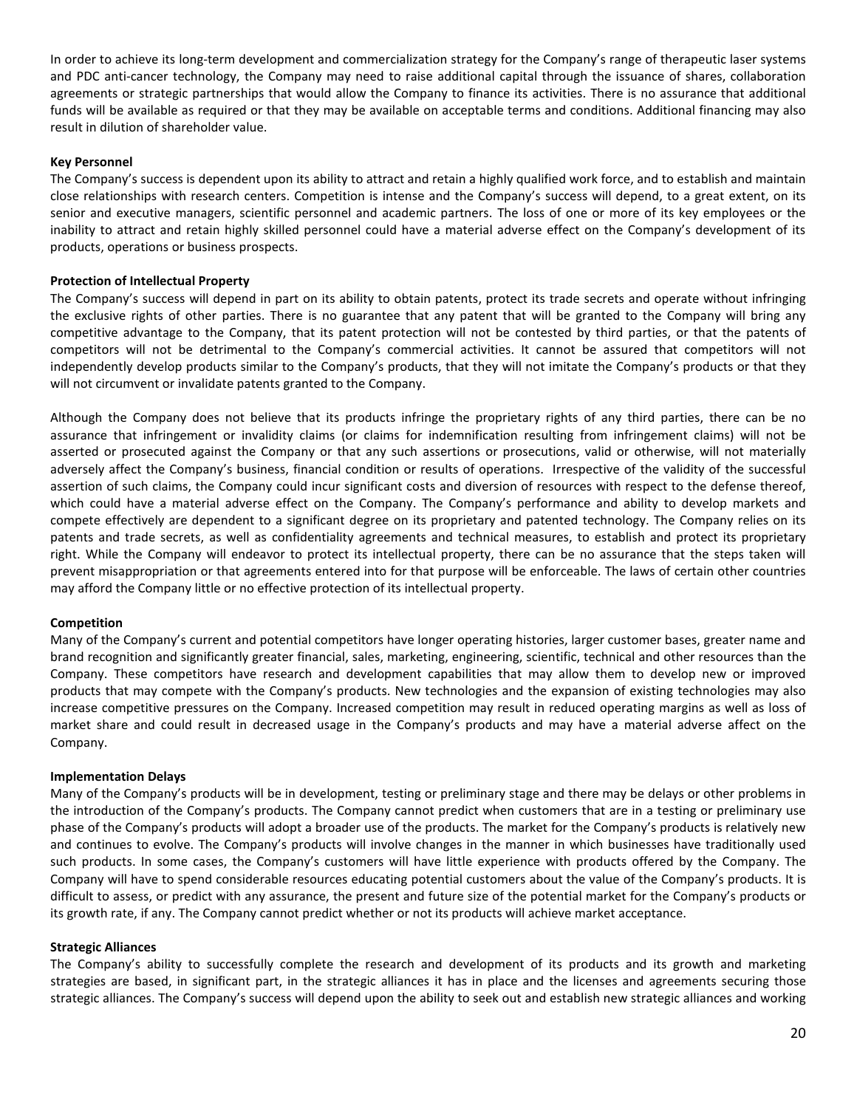In order to achieve its long-term development and commercialization strategy for the Company's range of therapeutic laser systems and PDC anti-cancer technology, the Company may need to raise additional capital through the issuance of shares, collaboration agreements or strategic partnerships that would allow the Company to finance its activities. There is no assurance that additional funds will be available as required or that they may be available on acceptable terms and conditions. Additional financing may also result in dilution of shareholder value.

## **Key Personnel**

The Company's success is dependent upon its ability to attract and retain a highly qualified work force, and to establish and maintain close relationships with research centers. Competition is intense and the Company's success will depend, to a great extent, on its senior and executive managers, scientific personnel and academic partners. The loss of one or more of its key employees or the inability to attract and retain highly skilled personnel could have a material adverse effect on the Company's development of its products, operations or business prospects.

#### **Protection of Intellectual Property**

The Company's success will depend in part on its ability to obtain patents, protect its trade secrets and operate without infringing the exclusive rights of other parties. There is no guarantee that any patent that will be granted to the Company will bring any competitive advantage to the Company, that its patent protection will not be contested by third parties, or that the patents of competitors will not be detrimental to the Company's commercial activities. It cannot be assured that competitors will not independently develop products similar to the Company's products, that they will not imitate the Company's products or that they will not circumvent or invalidate patents granted to the Company.

Although the Company does not believe that its products infringe the proprietary rights of any third parties, there can be no assurance that infringement or invalidity claims (or claims for indemnification resulting from infringement claims) will not be asserted or prosecuted against the Company or that any such assertions or prosecutions, valid or otherwise, will not materially adversely affect the Company's business, financial condition or results of operations. Irrespective of the validity of the successful assertion of such claims, the Company could incur significant costs and diversion of resources with respect to the defense thereof, which could have a material adverse effect on the Company. The Company's performance and ability to develop markets and compete effectively are dependent to a significant degree on its proprietary and patented technology. The Company relies on its patents and trade secrets, as well as confidentiality agreements and technical measures, to establish and protect its proprietary right. While the Company will endeavor to protect its intellectual property, there can be no assurance that the steps taken will prevent misappropriation or that agreements entered into for that purpose will be enforceable. The laws of certain other countries may afford the Company little or no effective protection of its intellectual property.

#### **Competition**

Many of the Company's current and potential competitors have longer operating histories, larger customer bases, greater name and brand recognition and significantly greater financial, sales, marketing, engineering, scientific, technical and other resources than the Company. These competitors have research and development capabilities that may allow them to develop new or improved products that may compete with the Company's products. New technologies and the expansion of existing technologies may also increase competitive pressures on the Company. Increased competition may result in reduced operating margins as well as loss of market share and could result in decreased usage in the Company's products and may have a material adverse affect on the Company.

#### **Implementation Delays**

Many of the Company's products will be in development, testing or preliminary stage and there may be delays or other problems in the introduction of the Company's products. The Company cannot predict when customers that are in a testing or preliminary use phase of the Company's products will adopt a broader use of the products. The market for the Company's products is relatively new and continues to evolve. The Company's products will involve changes in the manner in which businesses have traditionally used such products. In some cases, the Company's customers will have little experience with products offered by the Company. The Company will have to spend considerable resources educating potential customers about the value of the Company's products. It is difficult to assess, or predict with any assurance, the present and future size of the potential market for the Company's products or its growth rate, if any. The Company cannot predict whether or not its products will achieve market acceptance.

#### **Strategic Alliances**

The Company's ability to successfully complete the research and development of its products and its growth and marketing strategies are based, in significant part, in the strategic alliances it has in place and the licenses and agreements securing those strategic alliances. The Company's success will depend upon the ability to seek out and establish new strategic alliances and working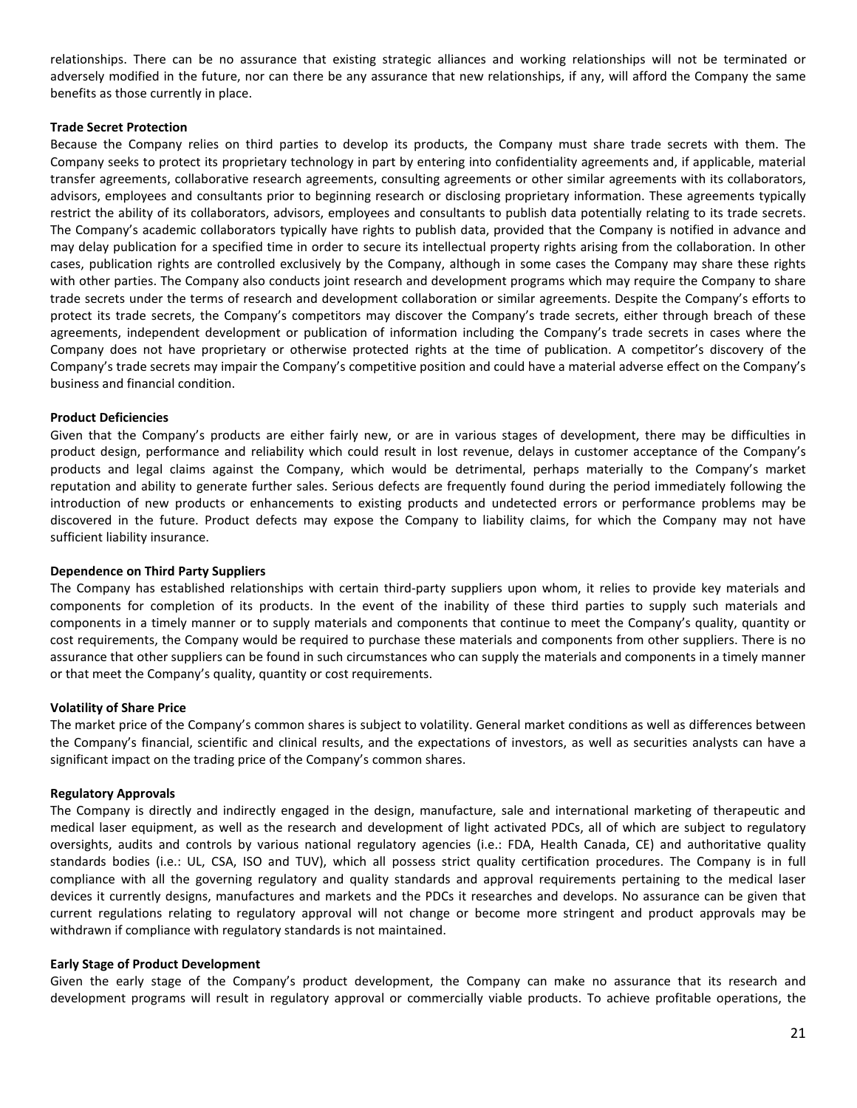relationships. There can be no assurance that existing strategic alliances and working relationships will not be terminated or adversely modified in the future, nor can there be any assurance that new relationships, if any, will afford the Company the same benefits as those currently in place.

#### **Trade Secret Protection**

Because the Company relies on third parties to develop its products, the Company must share trade secrets with them. The Company seeks to protect its proprietary technology in part by entering into confidentiality agreements and, if applicable, material transfer agreements, collaborative research agreements, consulting agreements or other similar agreements with its collaborators, advisors, employees and consultants prior to beginning research or disclosing proprietary information. These agreements typically restrict the ability of its collaborators, advisors, employees and consultants to publish data potentially relating to its trade secrets. The Company's academic collaborators typically have rights to publish data, provided that the Company is notified in advance and may delay publication for a specified time in order to secure its intellectual property rights arising from the collaboration. In other cases, publication rights are controlled exclusively by the Company, although in some cases the Company may share these rights with other parties. The Company also conducts joint research and development programs which may require the Company to share trade secrets under the terms of research and development collaboration or similar agreements. Despite the Company's efforts to protect its trade secrets, the Company's competitors may discover the Company's trade secrets, either through breach of these agreements, independent development or publication of information including the Company's trade secrets in cases where the Company does not have proprietary or otherwise protected rights at the time of publication. A competitor's discovery of the Company's trade secrets may impair the Company's competitive position and could have a material adverse effect on the Company's business and financial condition.

#### **Product Deficiencies**

Given that the Company's products are either fairly new, or are in various stages of development, there may be difficulties in product design, performance and reliability which could result in lost revenue, delays in customer acceptance of the Company's products and legal claims against the Company, which would be detrimental, perhaps materially to the Company's market reputation and ability to generate further sales. Serious defects are frequently found during the period immediately following the introduction of new products or enhancements to existing products and undetected errors or performance problems may be discovered in the future. Product defects may expose the Company to liability claims, for which the Company may not have sufficient liability insurance.

#### **Dependence on Third Party Suppliers**

The Company has established relationships with certain third-party suppliers upon whom, it relies to provide key materials and components for completion of its products. In the event of the inability of these third parties to supply such materials and components in a timely manner or to supply materials and components that continue to meet the Company's quality, quantity or cost requirements, the Company would be required to purchase these materials and components from other suppliers. There is no assurance that other suppliers can be found in such circumstances who can supply the materials and components in a timely manner or that meet the Company's quality, quantity or cost requirements.

## **Volatility of Share Price**

The market price of the Company's common shares is subject to volatility. General market conditions as well as differences between the Company's financial, scientific and clinical results, and the expectations of investors, as well as securities analysts can have a significant impact on the trading price of the Company's common shares.

#### **Regulatory Approvals**

The Company is directly and indirectly engaged in the design, manufacture, sale and international marketing of therapeutic and medical laser equipment, as well as the research and development of light activated PDCs, all of which are subject to regulatory oversights, audits and controls by various national regulatory agencies (i.e.: FDA, Health Canada, CE) and authoritative quality standards bodies (i.e.: UL, CSA, ISO and TUV), which all possess strict quality certification procedures. The Company is in full compliance with all the governing regulatory and quality standards and approval requirements pertaining to the medical laser devices it currently designs, manufactures and markets and the PDCs it researches and develops. No assurance can be given that current regulations relating to regulatory approval will not change or become more stringent and product approvals may be withdrawn if compliance with regulatory standards is not maintained.

#### **Early Stage of Product Development**

Given the early stage of the Company's product development, the Company can make no assurance that its research and development programs will result in regulatory approval or commercially viable products. To achieve profitable operations, the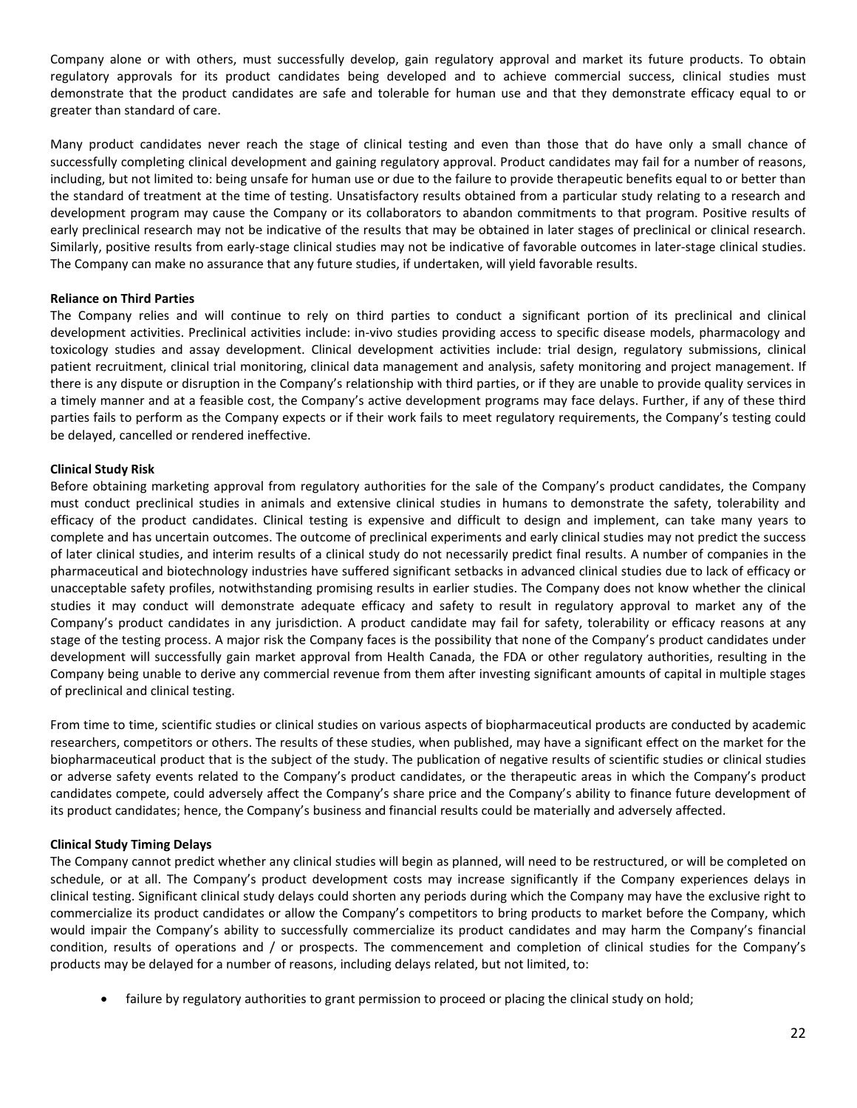Company alone or with others, must successfully develop, gain regulatory approval and market its future products. To obtain regulatory approvals for its product candidates being developed and to achieve commercial success, clinical studies must demonstrate that the product candidates are safe and tolerable for human use and that they demonstrate efficacy equal to or greater than standard of care.

Many product candidates never reach the stage of clinical testing and even than those that do have only a small chance of successfully completing clinical development and gaining regulatory approval. Product candidates may fail for a number of reasons, including, but not limited to: being unsafe for human use or due to the failure to provide therapeutic benefits equal to or better than the standard of treatment at the time of testing. Unsatisfactory results obtained from a particular study relating to a research and development program may cause the Company or its collaborators to abandon commitments to that program. Positive results of early preclinical research may not be indicative of the results that may be obtained in later stages of preclinical or clinical research. Similarly, positive results from early-stage clinical studies may not be indicative of favorable outcomes in later-stage clinical studies. The Company can make no assurance that any future studies, if undertaken, will yield favorable results.

## **Reliance on Third Parties**

The Company relies and will continue to rely on third parties to conduct a significant portion of its preclinical and clinical development activities. Preclinical activities include: in-vivo studies providing access to specific disease models, pharmacology and toxicology studies and assay development. Clinical development activities include: trial design, regulatory submissions, clinical patient recruitment, clinical trial monitoring, clinical data management and analysis, safety monitoring and project management. If there is any dispute or disruption in the Company's relationship with third parties, or if they are unable to provide quality services in a timely manner and at a feasible cost, the Company's active development programs may face delays. Further, if any of these third parties fails to perform as the Company expects or if their work fails to meet regulatory requirements, the Company's testing could be delayed, cancelled or rendered ineffective.

## **Clinical Study Risk**

Before obtaining marketing approval from regulatory authorities for the sale of the Company's product candidates, the Company must conduct preclinical studies in animals and extensive clinical studies in humans to demonstrate the safety, tolerability and efficacy of the product candidates. Clinical testing is expensive and difficult to design and implement, can take many years to complete and has uncertain outcomes. The outcome of preclinical experiments and early clinical studies may not predict the success of later clinical studies, and interim results of a clinical study do not necessarily predict final results. A number of companies in the pharmaceutical and biotechnology industries have suffered significant setbacks in advanced clinical studies due to lack of efficacy or unacceptable safety profiles, notwithstanding promising results in earlier studies. The Company does not know whether the clinical studies it may conduct will demonstrate adequate efficacy and safety to result in regulatory approval to market any of the Company's product candidates in any jurisdiction. A product candidate may fail for safety, tolerability or efficacy reasons at any stage of the testing process. A major risk the Company faces is the possibility that none of the Company's product candidates under development will successfully gain market approval from Health Canada, the FDA or other regulatory authorities, resulting in the Company being unable to derive any commercial revenue from them after investing significant amounts of capital in multiple stages of preclinical and clinical testing.

From time to time, scientific studies or clinical studies on various aspects of biopharmaceutical products are conducted by academic researchers, competitors or others. The results of these studies, when published, may have a significant effect on the market for the biopharmaceutical product that is the subject of the study. The publication of negative results of scientific studies or clinical studies or adverse safety events related to the Company's product candidates, or the therapeutic areas in which the Company's product candidates compete, could adversely affect the Company's share price and the Company's ability to finance future development of its product candidates; hence, the Company's business and financial results could be materially and adversely affected.

## **Clinical Study Timing Delays**

The Company cannot predict whether any clinical studies will begin as planned, will need to be restructured, or will be completed on schedule, or at all. The Company's product development costs may increase significantly if the Company experiences delays in clinical testing. Significant clinical study delays could shorten any periods during which the Company may have the exclusive right to commercialize its product candidates or allow the Company's competitors to bring products to market before the Company, which would impair the Company's ability to successfully commercialize its product candidates and may harm the Company's financial condition, results of operations and / or prospects. The commencement and completion of clinical studies for the Company's products may be delayed for a number of reasons, including delays related, but not limited, to:

• failure by regulatory authorities to grant permission to proceed or placing the clinical study on hold;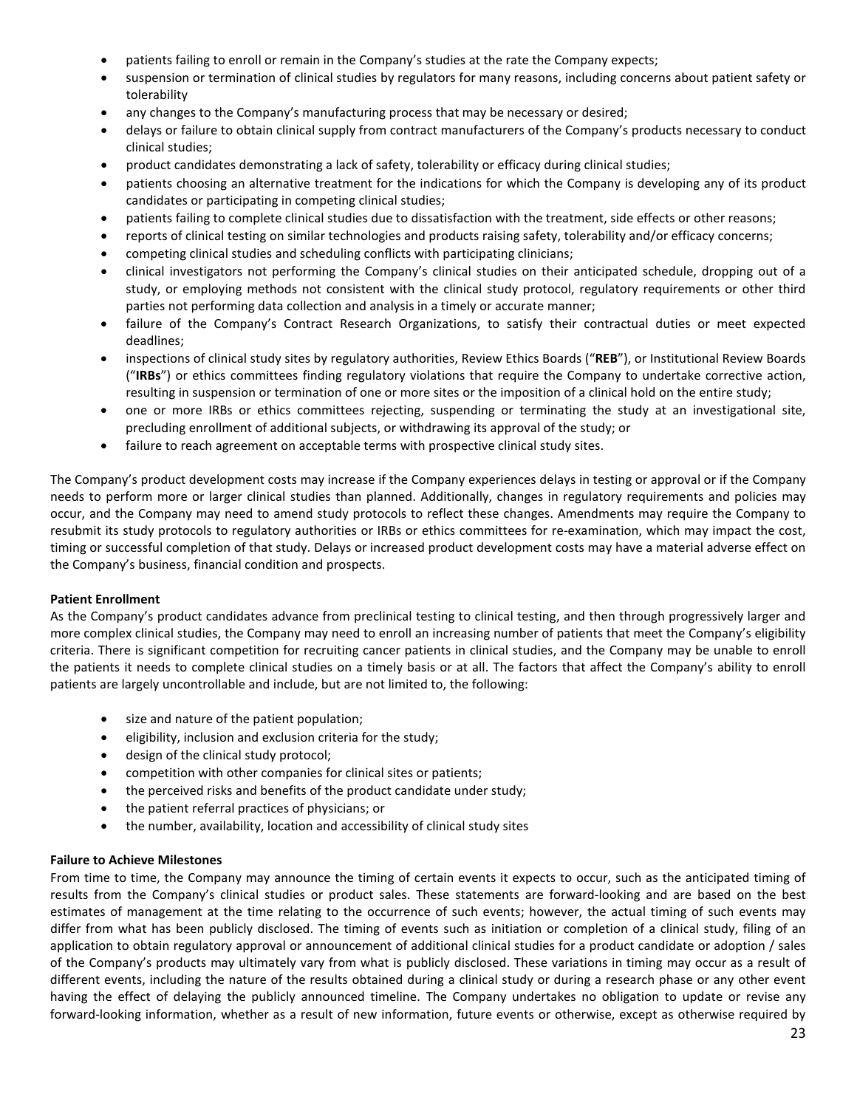- patients failing to enroll or remain in the Company's studies at the rate the Company expects;
- suspension or termination of clinical studies by regulators for many reasons, including concerns about patient safety or tolerability
- any changes to the Company's manufacturing process that may be necessary or desired;
- delays or failure to obtain clinical supply from contract manufacturers of the Company's products necessary to conduct clinical studies;
- product candidates demonstrating a lack of safety, tolerability or efficacy during clinical studies;
- patients choosing an alternative treatment for the indications for which the Company is developing any of its product candidates or participating in competing clinical studies;
- patients failing to complete clinical studies due to dissatisfaction with the treatment, side effects or other reasons;
- reports of clinical testing on similar technologies and products raising safety, tolerability and/or efficacy concerns;
- competing clinical studies and scheduling conflicts with participating clinicians;
- clinical investigators not performing the Company's clinical studies on their anticipated schedule, dropping out of a study, or employing methods not consistent with the clinical study protocol, regulatory requirements or other third parties not performing data collection and analysis in a timely or accurate manner;
- failure of the Company's Contract Research Organizations, to satisfy their contractual duties or meet expected deadlines;
- inspections of clinical study sites by regulatory authorities, Review Ethics Boards ("**REB**"), or Institutional Review Boards ("**IRBs**") or ethics committees finding regulatory violations that require the Company to undertake corrective action, resulting in suspension or termination of one or more sites or the imposition of a clinical hold on the entire study;
- one or more IRBs or ethics committees rejecting, suspending or terminating the study at an investigational site, precluding enrollment of additional subjects, or withdrawing its approval of the study; or
- failure to reach agreement on acceptable terms with prospective clinical study sites.

The Company's product development costs may increase if the Company experiences delays in testing or approval or if the Company needs to perform more or larger clinical studies than planned. Additionally, changes in regulatory requirements and policies may occur, and the Company may need to amend study protocols to reflect these changes. Amendments may require the Company to resubmit its study protocols to regulatory authorities or IRBs or ethics committees for re-examination, which may impact the cost, timing or successful completion of that study. Delays or increased product development costs may have a material adverse effect on the Company's business, financial condition and prospects.

## **Patient Enrollment**

As the Company's product candidates advance from preclinical testing to clinical testing, and then through progressively larger and more complex clinical studies, the Company may need to enroll an increasing number of patients that meet the Company's eligibility criteria. There is significant competition for recruiting cancer patients in clinical studies, and the Company may be unable to enroll the patients it needs to complete clinical studies on a timely basis or at all. The factors that affect the Company's ability to enroll patients are largely uncontrollable and include, but are not limited to, the following:

- size and nature of the patient population;
- eligibility, inclusion and exclusion criteria for the study;
- design of the clinical study protocol;
- competition with other companies for clinical sites or patients;
- the perceived risks and benefits of the product candidate under study;
- the patient referral practices of physicians; or
- the number, availability, location and accessibility of clinical study sites

#### **Failure to Achieve Milestones**

From time to time, the Company may announce the timing of certain events it expects to occur, such as the anticipated timing of results from the Company's clinical studies or product sales. These statements are forward-looking and are based on the best estimates of management at the time relating to the occurrence of such events; however, the actual timing of such events may differ from what has been publicly disclosed. The timing of events such as initiation or completion of a clinical study, filing of an application to obtain regulatory approval or announcement of additional clinical studies for a product candidate or adoption / sales of the Company's products may ultimately vary from what is publicly disclosed. These variations in timing may occur as a result of different events, including the nature of the results obtained during a clinical study or during a research phase or any other event having the effect of delaying the publicly announced timeline. The Company undertakes no obligation to update or revise any forward-looking information, whether as a result of new information, future events or otherwise, except as otherwise required by